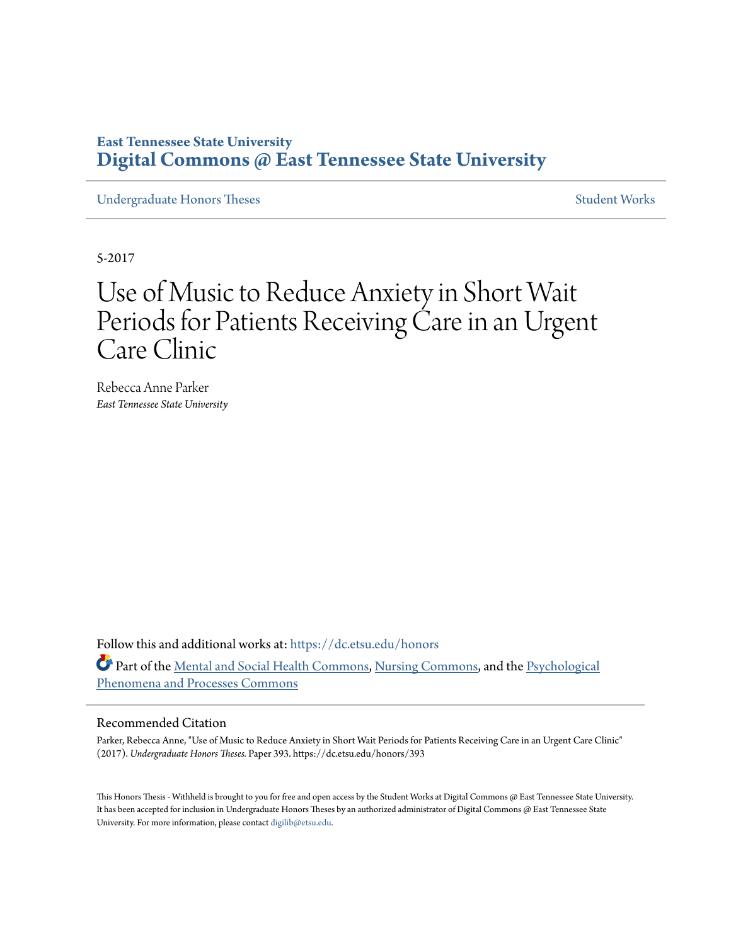# **East Tennessee State University [Digital Commons @ East Tennessee State University](https://dc.etsu.edu?utm_source=dc.etsu.edu%2Fhonors%2F393&utm_medium=PDF&utm_campaign=PDFCoverPages)**

[Undergraduate Honors Theses](https://dc.etsu.edu/honors?utm_source=dc.etsu.edu%2Fhonors%2F393&utm_medium=PDF&utm_campaign=PDFCoverPages) [Student Works](https://dc.etsu.edu/student-works?utm_source=dc.etsu.edu%2Fhonors%2F393&utm_medium=PDF&utm_campaign=PDFCoverPages)

5-2017

# Use of Music to Reduce Anxiety in Short Wait Periods for Patients Receiving Care in an Urgent Care Clinic

Rebecca Anne Parker *East Tennessee State University*

Follow this and additional works at: [https://dc.etsu.edu/honors](https://dc.etsu.edu/honors?utm_source=dc.etsu.edu%2Fhonors%2F393&utm_medium=PDF&utm_campaign=PDFCoverPages) Part of the [Mental and Social Health Commons](http://network.bepress.com/hgg/discipline/709?utm_source=dc.etsu.edu%2Fhonors%2F393&utm_medium=PDF&utm_campaign=PDFCoverPages), [Nursing Commons](http://network.bepress.com/hgg/discipline/718?utm_source=dc.etsu.edu%2Fhonors%2F393&utm_medium=PDF&utm_campaign=PDFCoverPages), and the [Psychological](http://network.bepress.com/hgg/discipline/914?utm_source=dc.etsu.edu%2Fhonors%2F393&utm_medium=PDF&utm_campaign=PDFCoverPages) [Phenomena and Processes Commons](http://network.bepress.com/hgg/discipline/914?utm_source=dc.etsu.edu%2Fhonors%2F393&utm_medium=PDF&utm_campaign=PDFCoverPages)

#### Recommended Citation

Parker, Rebecca Anne, "Use of Music to Reduce Anxiety in Short Wait Periods for Patients Receiving Care in an Urgent Care Clinic" (2017). *Undergraduate Honors Theses.* Paper 393. https://dc.etsu.edu/honors/393

This Honors Thesis - Withheld is brought to you for free and open access by the Student Works at Digital Commons @ East Tennessee State University. It has been accepted for inclusion in Undergraduate Honors Theses by an authorized administrator of Digital Commons @ East Tennessee State University. For more information, please contact [digilib@etsu.edu.](mailto:digilib@etsu.edu)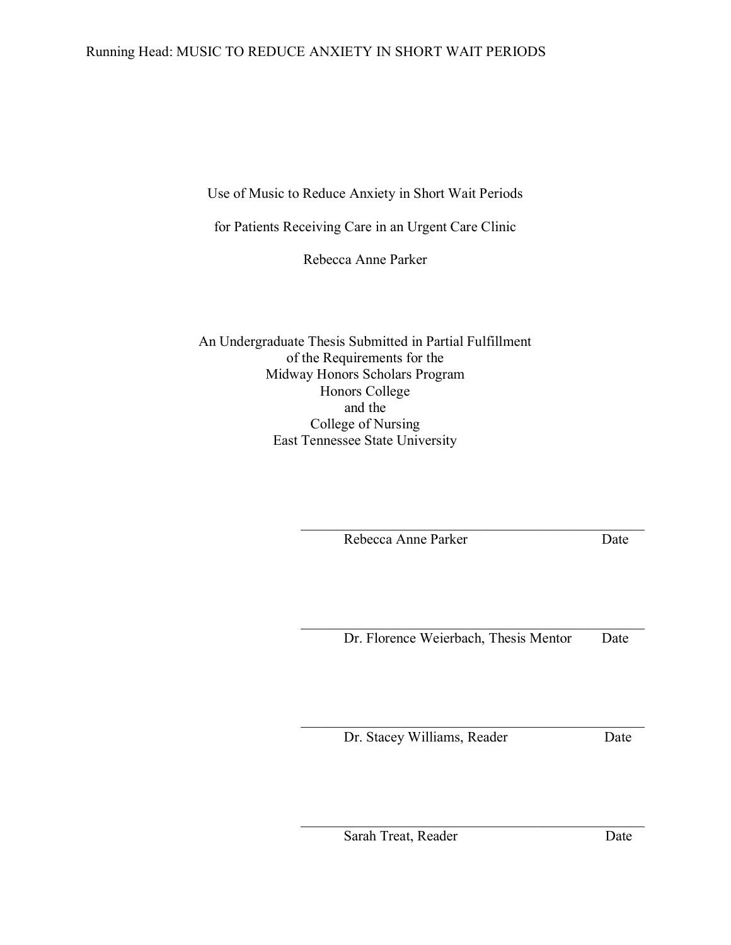### Running Head: MUSIC TO REDUCE ANXIETY IN SHORT WAIT PERIODS

Use of Music to Reduce Anxiety in Short Wait Periods

for Patients Receiving Care in an Urgent Care Clinic

Rebecca Anne Parker

An Undergraduate Thesis Submitted in Partial Fulfillment of the Requirements for the Midway Honors Scholars Program Honors College and the College of Nursing East Tennessee State University

Rebecca Anne Parker Date

 $\mathcal{L}_\text{max}$  , and the set of the set of the set of the set of the set of the set of the set of the set of the set of the set of the set of the set of the set of the set of the set of the set of the set of the set of the Dr. Florence Weierbach, Thesis Mentor Date

 $\mathcal{L}_\text{max}$  and the contract of the contract of the contract of the contract of the contract of the contract of the contract of the contract of the contract of the contract of the contract of the contract of the contrac

 $\mathcal{L}_\text{max}$  , and the contract of the contract of the contract of the contract of the contract of the contract of the contract of the contract of the contract of the contract of the contract of the contract of the contr

 $\mathcal{L}_\text{max}$  , and the contract of the contract of the contract of the contract of the contract of the contract of the contract of the contract of the contract of the contract of the contract of the contract of the contr

Dr. Stacey Williams, Reader Date

Sarah Treat, Reader Date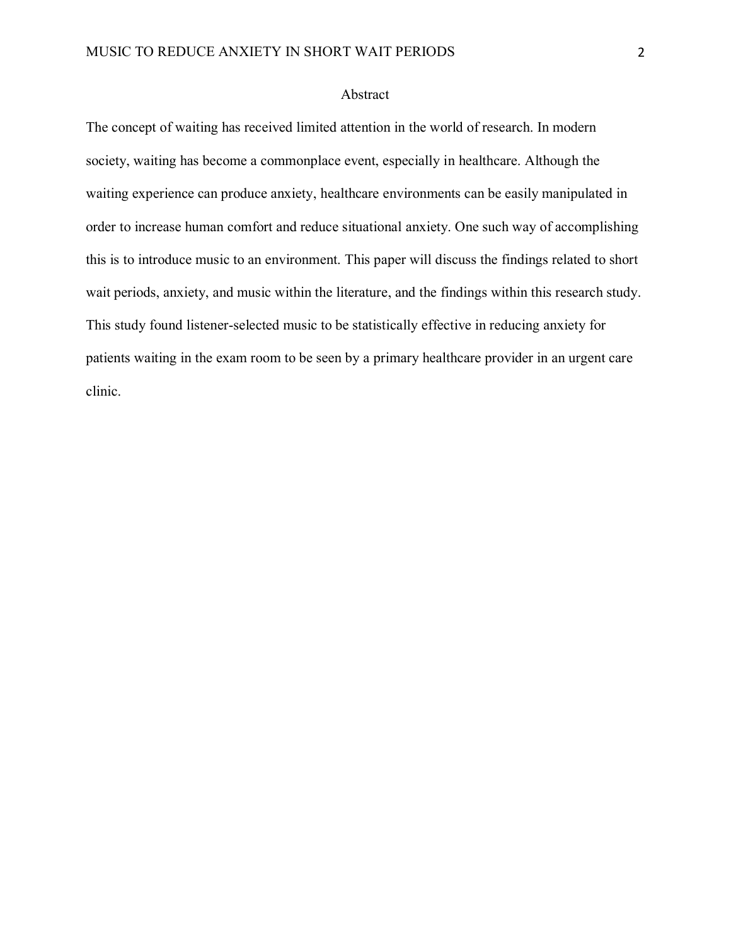### Abstract

The concept of waiting has received limited attention in the world of research. In modern society, waiting has become a commonplace event, especially in healthcare. Although the waiting experience can produce anxiety, healthcare environments can be easily manipulated in order to increase human comfort and reduce situational anxiety. One such way of accomplishing this is to introduce music to an environment. This paper will discuss the findings related to short wait periods, anxiety, and music within the literature, and the findings within this research study. This study found listener-selected music to be statistically effective in reducing anxiety for patients waiting in the exam room to be seen by a primary healthcare provider in an urgent care clinic.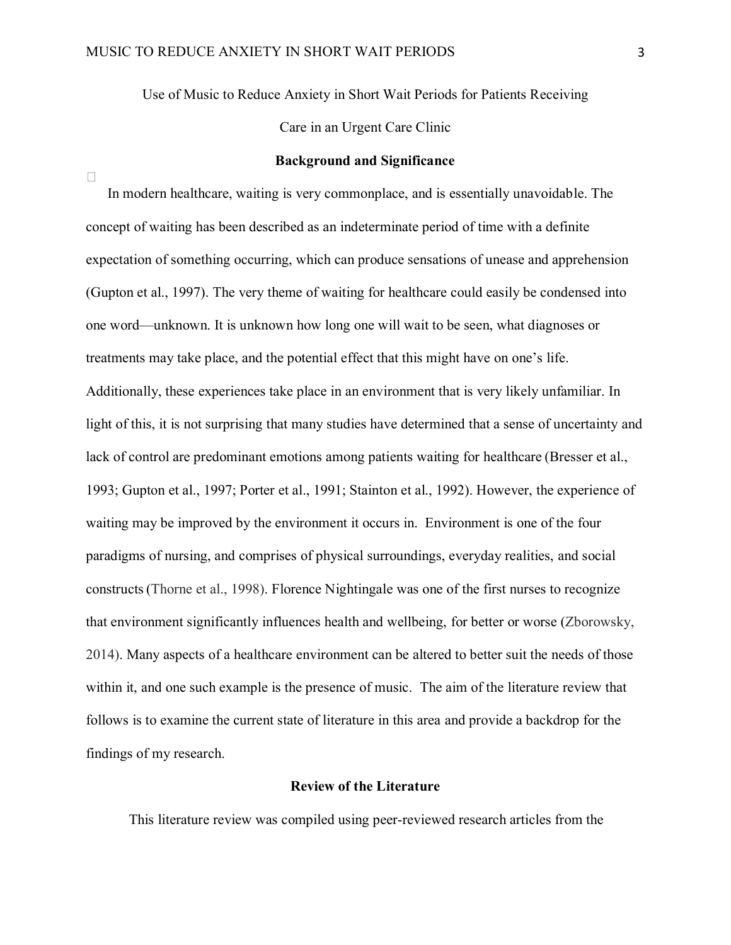Use of Music to Reduce Anxiety in Short Wait Periods for Patients Receiving

Care in an Urgent Care Clinic

### **Background and Significance**

 $\Box$ 

In modern healthcare, waiting is very commonplace, and is essentially unavoidable. The concept of waiting has been described as an indeterminate period of time with a definite expectation of something occurring, which can produce sensations of unease and apprehension (Gupton et al., 1997). The very theme of waiting for healthcare could easily be condensed into one word—unknown. It is unknown how long one will wait to be seen, what diagnoses or treatments may take place, and the potential effect that this might have on one's life. Additionally, these experiences take place in an environment that is very likely unfamiliar. In light of this, it is not surprising that many studies have determined that a sense of uncertainty and lack of control are predominant emotions among patients waiting for healthcare (Bresser et al., 1993; Gupton et al., 1997; Porter et al., 1991; Stainton et al., 1992). However, the experience of waiting may be improved by the environment it occurs in. Environment is one of the four paradigms of nursing, and comprises of physical surroundings, everyday realities, and social constructs(Thorne et al., 1998). Florence Nightingale was one of the first nurses to recognize that environment significantly influences health and wellbeing, for better or worse (Zborowsky, 2014). Many aspects of a healthcare environment can be altered to better suit the needs of those within it, and one such example is the presence of music. The aim of the literature review that follows is to examine the current state of literature in this area and provide a backdrop for the findings of my research.

### **Review of the Literature**

This literature review was compiled using peer-reviewed research articles from the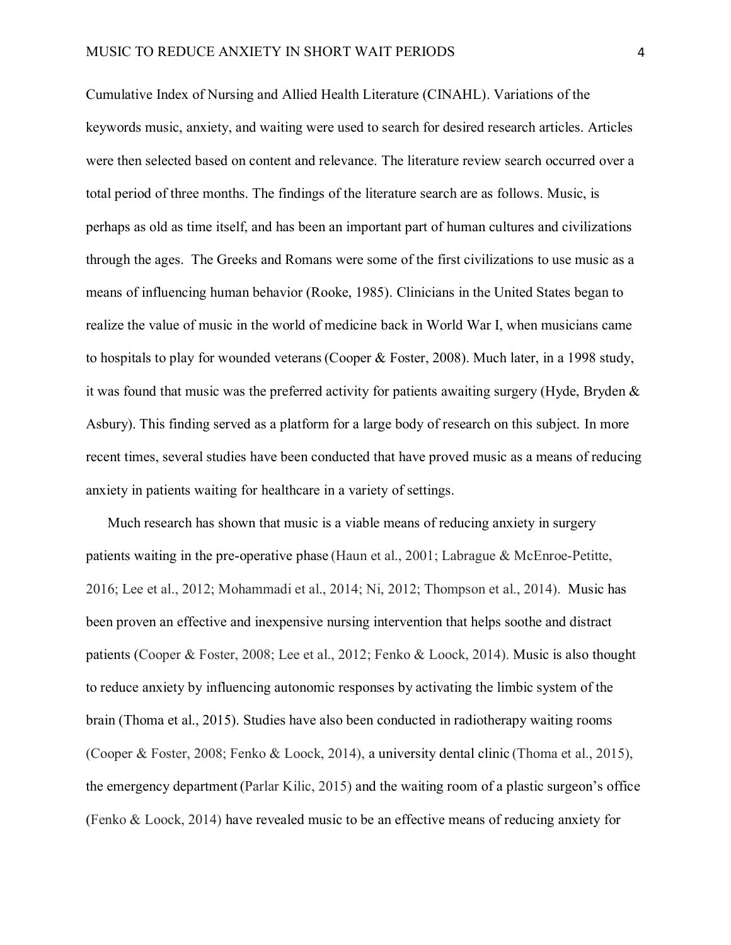Cumulative Index of Nursing and Allied Health Literature (CINAHL). Variations of the keywords music, anxiety, and waiting were used to search for desired research articles. Articles were then selected based on content and relevance. The literature review search occurred over a total period of three months. The findings of the literature search are as follows. Music, is perhaps as old as time itself, and has been an important part of human cultures and civilizations through the ages. The Greeks and Romans were some of the first civilizations to use music as a means of influencing human behavior (Rooke, 1985). Clinicians in the United States began to realize the value of music in the world of medicine back in World War I, when musicians came to hospitals to play for wounded veterans (Cooper & Foster, 2008). Much later, in a 1998 study, it was found that music was the preferred activity for patients awaiting surgery (Hyde, Bryden & Asbury). This finding served as a platform for a large body of research on this subject. In more recent times, several studies have been conducted that have proved music as a means of reducing anxiety in patients waiting for healthcare in a variety of settings.

Much research has shown that music is a viable means of reducing anxiety in surgery patients waiting in the pre-operative phase (Haun et al., 2001; Labrague & McEnroe-Petitte, 2016; Lee et al., 2012; Mohammadi et al., 2014; Ni, 2012; Thompson et al., 2014). Music has been proven an effective and inexpensive nursing intervention that helps soothe and distract patients (Cooper & Foster, 2008; Lee et al., 2012; Fenko & Loock, 2014). Music is also thought to reduce anxiety by influencing autonomic responses by activating the limbic system of the brain (Thoma et al., 2015). Studies have also been conducted in radiotherapy waiting rooms (Cooper & Foster, 2008; Fenko & Loock, 2014), a university dental clinic (Thoma et al., 2015), the emergency department (Parlar Kilic, 2015) and the waiting room of a plastic surgeon's office (Fenko & Loock, 2014) have revealed music to be an effective means of reducing anxiety for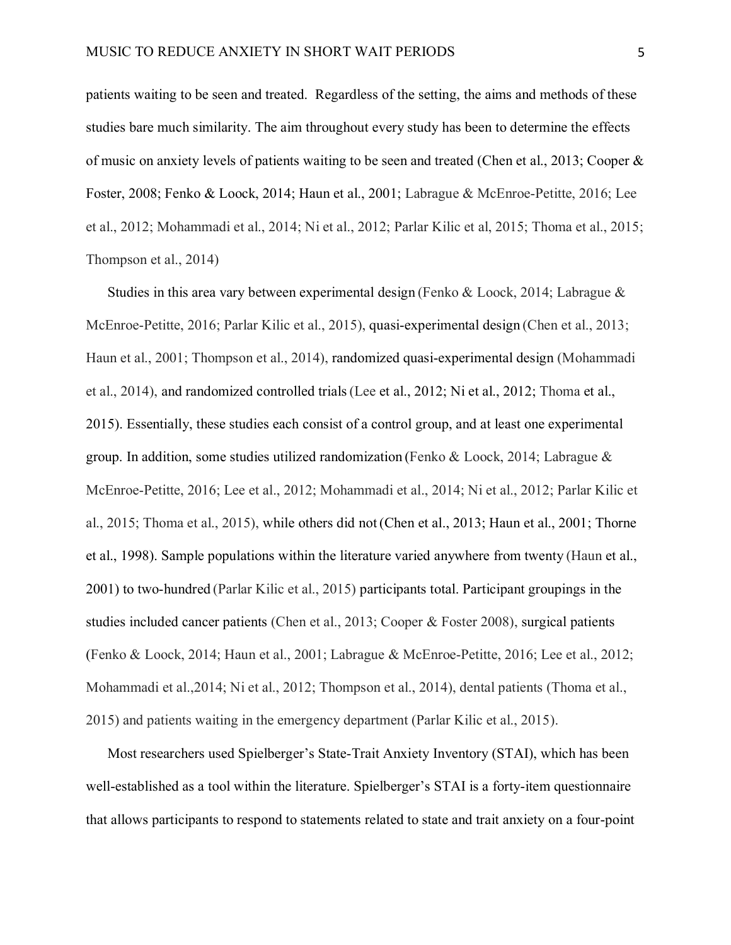patients waiting to be seen and treated. Regardless of the setting, the aims and methods of these studies bare much similarity. The aim throughout every study has been to determine the effects of music on anxiety levels of patients waiting to be seen and treated (Chen et al., 2013; Cooper & Foster, 2008; Fenko & Loock, 2014; Haun et al., 2001; Labrague & McEnroe-Petitte, 2016; Lee et al., 2012; Mohammadi et al., 2014; Ni et al., 2012; Parlar Kilic et al, 2015; Thoma et al., 2015; Thompson et al., 2014)

Studies in this area vary between experimental design (Fenko & Loock, 2014; Labrague  $\&$ McEnroe-Petitte, 2016; Parlar Kilic et al., 2015), quasi-experimental design (Chen et al., 2013; Haun et al., 2001; Thompson et al., 2014), randomized quasi-experimental design (Mohammadi et al., 2014), and randomized controlled trials(Lee et al., 2012; Ni et al., 2012; Thoma et al., 2015). Essentially, these studies each consist of a control group, and at least one experimental group. In addition, some studies utilized randomization (Fenko & Loock, 2014; Labrague  $\&$ McEnroe-Petitte, 2016; Lee et al., 2012; Mohammadi et al., 2014; Ni et al., 2012; Parlar Kilic et al., 2015; Thoma et al., 2015), while others did not(Chen et al., 2013; Haun et al., 2001; Thorne et al., 1998). Sample populations within the literature varied anywhere from twenty (Haun et al., 2001) to two-hundred (Parlar Kilic et al., 2015) participants total. Participant groupings in the studies included cancer patients (Chen et al., 2013; Cooper & Foster 2008), surgical patients (Fenko & Loock, 2014; Haun et al., 2001; Labrague & McEnroe-Petitte, 2016; Lee et al., 2012; Mohammadi et al.,2014; Ni et al., 2012; Thompson et al., 2014), dental patients (Thoma et al., 2015) and patients waiting in the emergency department (Parlar Kilic et al., 2015).

Most researchers used Spielberger's State-Trait Anxiety Inventory (STAI), which has been well-established as a tool within the literature. Spielberger's STAI is a forty-item questionnaire that allows participants to respond to statements related to state and trait anxiety on a four-point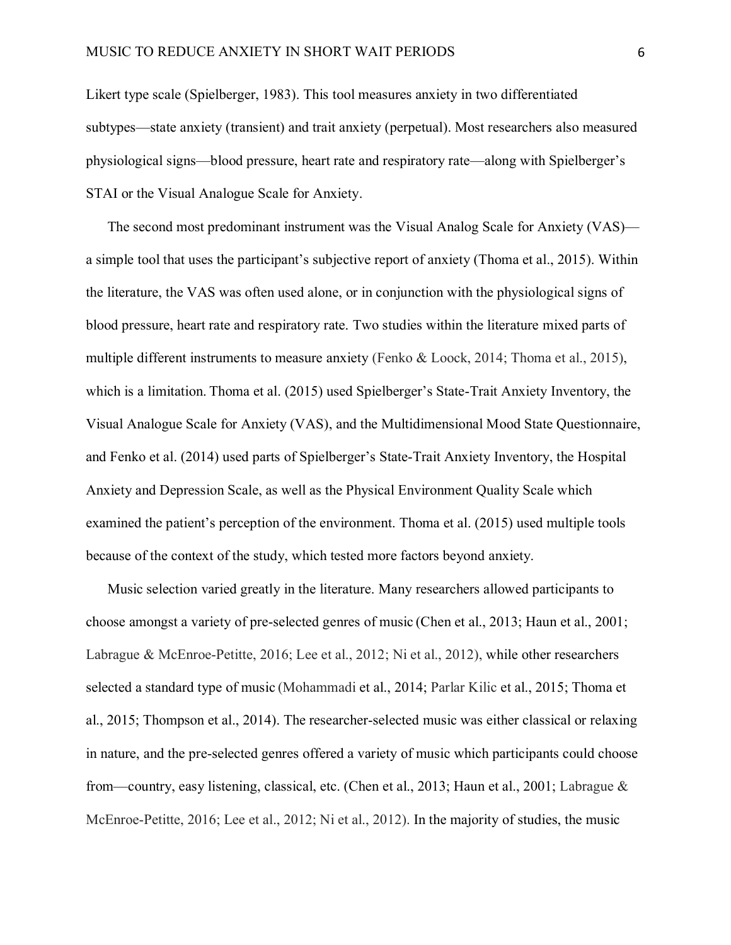Likert type scale (Spielberger, 1983). This tool measures anxiety in two differentiated subtypes—state anxiety (transient) and trait anxiety (perpetual). Most researchers also measured physiological signs—blood pressure, heart rate and respiratory rate—along with Spielberger's STAI or the Visual Analogue Scale for Anxiety.

The second most predominant instrument was the Visual Analog Scale for Anxiety (VAS) a simple tool that uses the participant's subjective report of anxiety (Thoma et al., 2015). Within the literature, the VAS was often used alone, or in conjunction with the physiological signs of blood pressure, heart rate and respiratory rate. Two studies within the literature mixed parts of multiple different instruments to measure anxiety (Fenko & Loock, 2014; Thoma et al., 2015), which is a limitation. Thoma et al. (2015) used Spielberger's State-Trait Anxiety Inventory, the Visual Analogue Scale for Anxiety (VAS), and the Multidimensional Mood State Questionnaire, and Fenko et al. (2014) used parts of Spielberger's State-Trait Anxiety Inventory, the Hospital Anxiety and Depression Scale, as well as the Physical Environment Quality Scale which examined the patient's perception of the environment. Thoma et al. (2015) used multiple tools because of the context of the study, which tested more factors beyond anxiety.

Music selection varied greatly in the literature. Many researchers allowed participants to choose amongst a variety of pre-selected genres of music (Chen et al., 2013; Haun et al., 2001; Labrague & McEnroe-Petitte, 2016; Lee et al., 2012; Ni et al., 2012), while other researchers selected a standard type of music (Mohammadi et al., 2014; Parlar Kilic et al., 2015; Thoma et al., 2015; Thompson et al., 2014). The researcher-selected music was either classical or relaxing in nature, and the pre-selected genres offered a variety of music which participants could choose from—country, easy listening, classical, etc. (Chen et al., 2013; Haun et al., 2001; Labrague & McEnroe-Petitte, 2016; Lee et al., 2012; Ni et al., 2012). In the majority of studies, the music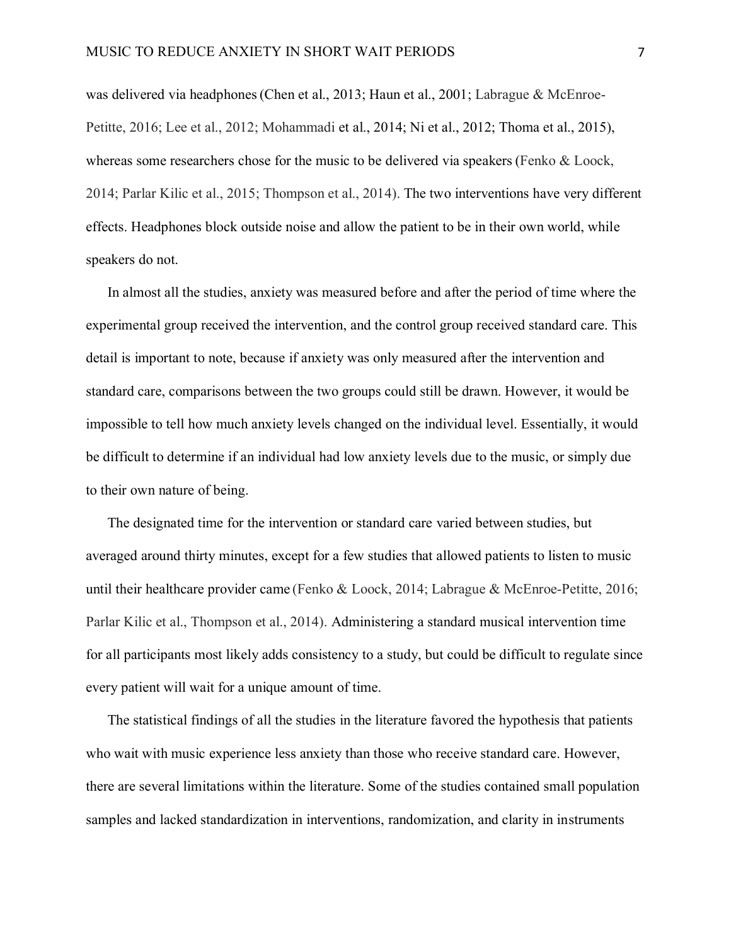was delivered via headphones(Chen et al., 2013; Haun et al., 2001; Labrague & McEnroe-Petitte, 2016; Lee et al., 2012; Mohammadi et al., 2014; Ni et al., 2012; Thoma et al., 2015), whereas some researchers chose for the music to be delivered via speakers (Fenko & Loock, 2014; Parlar Kilic et al., 2015; Thompson et al., 2014). The two interventions have very different effects. Headphones block outside noise and allow the patient to be in their own world, while speakers do not.

In almost all the studies, anxiety was measured before and after the period of time where the experimental group received the intervention, and the control group received standard care. This detail is important to note, because if anxiety was only measured after the intervention and standard care, comparisons between the two groups could still be drawn. However, it would be impossible to tell how much anxiety levels changed on the individual level. Essentially, it would be difficult to determine if an individual had low anxiety levels due to the music, or simply due to their own nature of being.

The designated time for the intervention or standard care varied between studies, but averaged around thirty minutes, except for a few studies that allowed patients to listen to music until their healthcare provider came (Fenko & Loock, 2014; Labrague & McEnroe-Petitte, 2016; Parlar Kilic et al., Thompson et al., 2014). Administering a standard musical intervention time for all participants most likely adds consistency to a study, but could be difficult to regulate since every patient will wait for a unique amount of time.

The statistical findings of all the studies in the literature favored the hypothesis that patients who wait with music experience less anxiety than those who receive standard care. However, there are several limitations within the literature. Some of the studies contained small population samples and lacked standardization in interventions, randomization, and clarity in instruments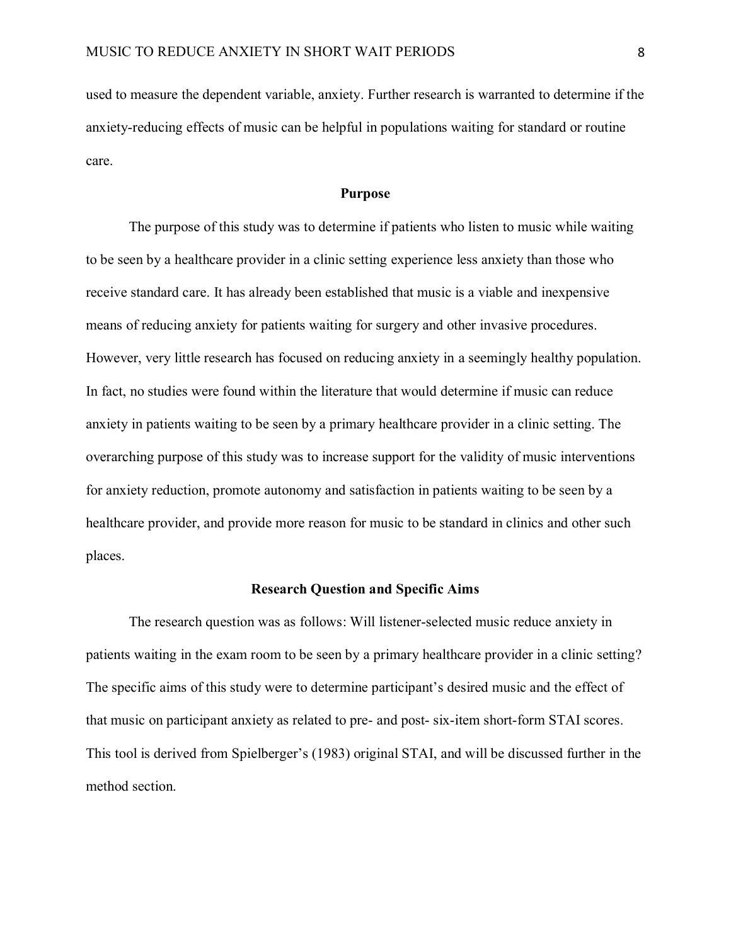used to measure the dependent variable, anxiety. Further research is warranted to determine if the anxiety-reducing effects of music can be helpful in populations waiting for standard or routine care.

### **Purpose**

The purpose of this study was to determine if patients who listen to music while waiting to be seen by a healthcare provider in a clinic setting experience less anxiety than those who receive standard care. It has already been established that music is a viable and inexpensive means of reducing anxiety for patients waiting for surgery and other invasive procedures. However, very little research has focused on reducing anxiety in a seemingly healthy population. In fact, no studies were found within the literature that would determine if music can reduce anxiety in patients waiting to be seen by a primary healthcare provider in a clinic setting. The overarching purpose of this study was to increase support for the validity of music interventions for anxiety reduction, promote autonomy and satisfaction in patients waiting to be seen by a healthcare provider, and provide more reason for music to be standard in clinics and other such places.

#### **Research Question and Specific Aims**

The research question was as follows: Will listener-selected music reduce anxiety in patients waiting in the exam room to be seen by a primary healthcare provider in a clinic setting? The specific aims of this study were to determine participant's desired music and the effect of that music on participant anxiety as related to pre- and post- six-item short-form STAI scores. This tool is derived from Spielberger's (1983) original STAI, and will be discussed further in the method section.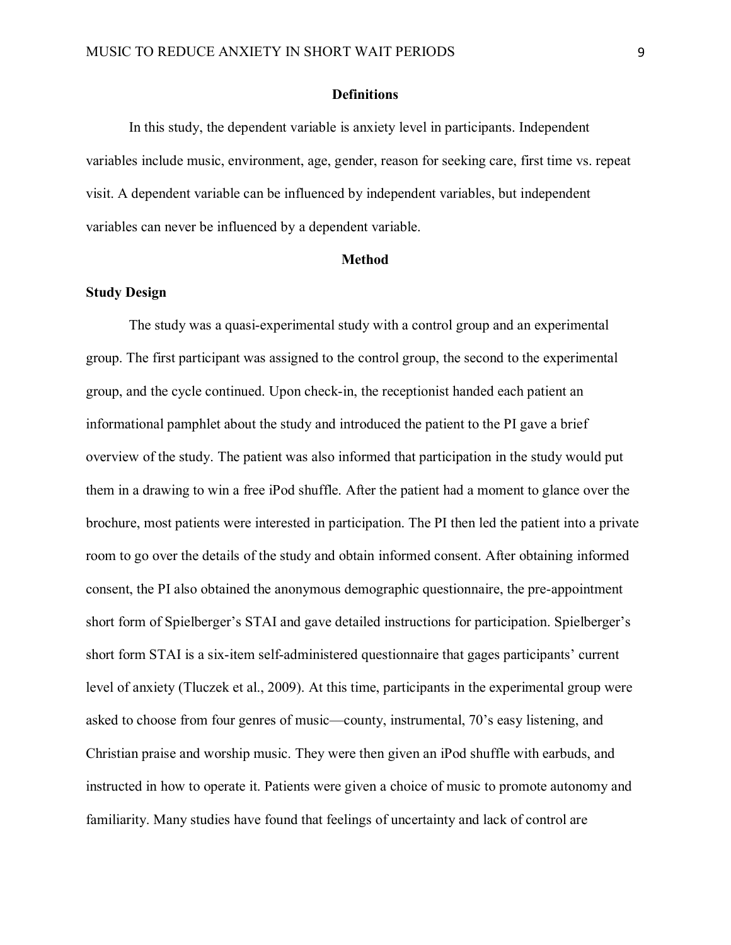### **Definitions**

In this study, the dependent variable is anxiety level in participants. Independent variables include music, environment, age, gender, reason for seeking care, first time vs. repeat visit. A dependent variable can be influenced by independent variables, but independent variables can never be influenced by a dependent variable.

#### **Method**

### **Study Design**

The study was a quasi-experimental study with a control group and an experimental group. The first participant was assigned to the control group, the second to the experimental group, and the cycle continued. Upon check-in, the receptionist handed each patient an informational pamphlet about the study and introduced the patient to the PI gave a brief overview of the study. The patient was also informed that participation in the study would put them in a drawing to win a free iPod shuffle. After the patient had a moment to glance over the brochure, most patients were interested in participation. The PI then led the patient into a private room to go over the details of the study and obtain informed consent. After obtaining informed consent, the PI also obtained the anonymous demographic questionnaire, the pre-appointment short form of Spielberger's STAI and gave detailed instructions for participation. Spielberger's short form STAI is a six-item self-administered questionnaire that gages participants' current level of anxiety (Tluczek et al., 2009). At this time, participants in the experimental group were asked to choose from four genres of music—county, instrumental, 70's easy listening, and Christian praise and worship music. They were then given an iPod shuffle with earbuds, and instructed in how to operate it. Patients were given a choice of music to promote autonomy and familiarity. Many studies have found that feelings of uncertainty and lack of control are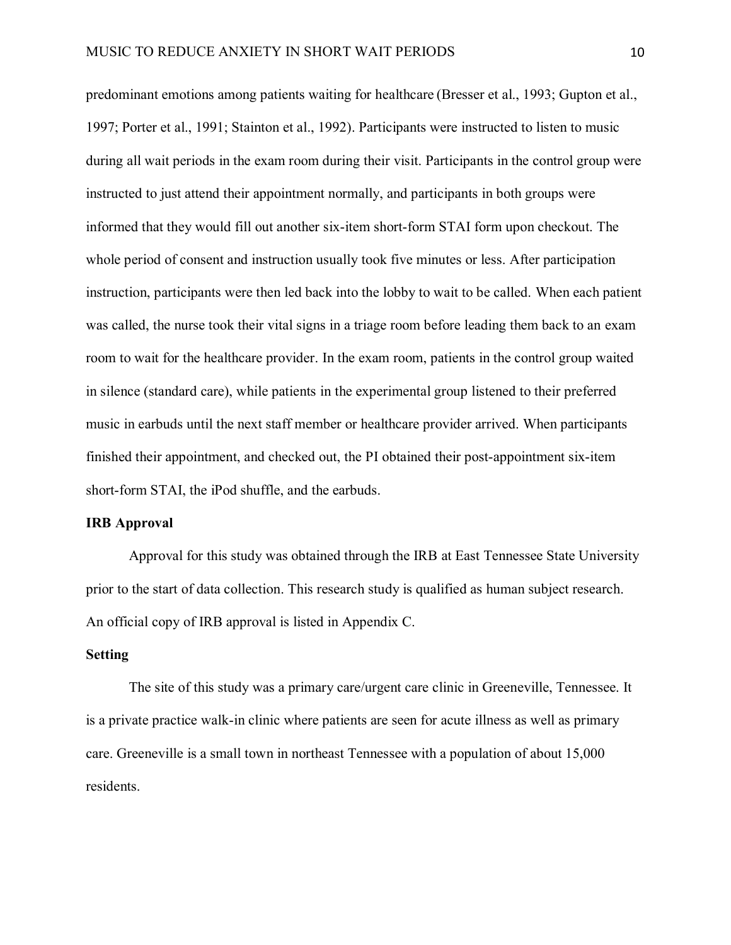predominant emotions among patients waiting for healthcare (Bresser et al., 1993; Gupton et al., 1997; Porter et al., 1991; Stainton et al., 1992). Participants were instructed to listen to music during all wait periods in the exam room during their visit. Participants in the control group were instructed to just attend their appointment normally, and participants in both groups were informed that they would fill out another six-item short-form STAI form upon checkout. The whole period of consent and instruction usually took five minutes or less. After participation instruction, participants were then led back into the lobby to wait to be called. When each patient was called, the nurse took their vital signs in a triage room before leading them back to an exam room to wait for the healthcare provider. In the exam room, patients in the control group waited in silence (standard care), while patients in the experimental group listened to their preferred music in earbuds until the next staff member or healthcare provider arrived. When participants finished their appointment, and checked out, the PI obtained their post-appointment six-item short-form STAI, the iPod shuffle, and the earbuds.

### **IRB Approval**

Approval for this study was obtained through the IRB at East Tennessee State University prior to the start of data collection. This research study is qualified as human subject research. An official copy of IRB approval is listed in Appendix C.

### **Setting**

The site of this study was a primary care/urgent care clinic in Greeneville, Tennessee. It is a private practice walk-in clinic where patients are seen for acute illness as well as primary care. Greeneville is a small town in northeast Tennessee with a population of about 15,000 residents.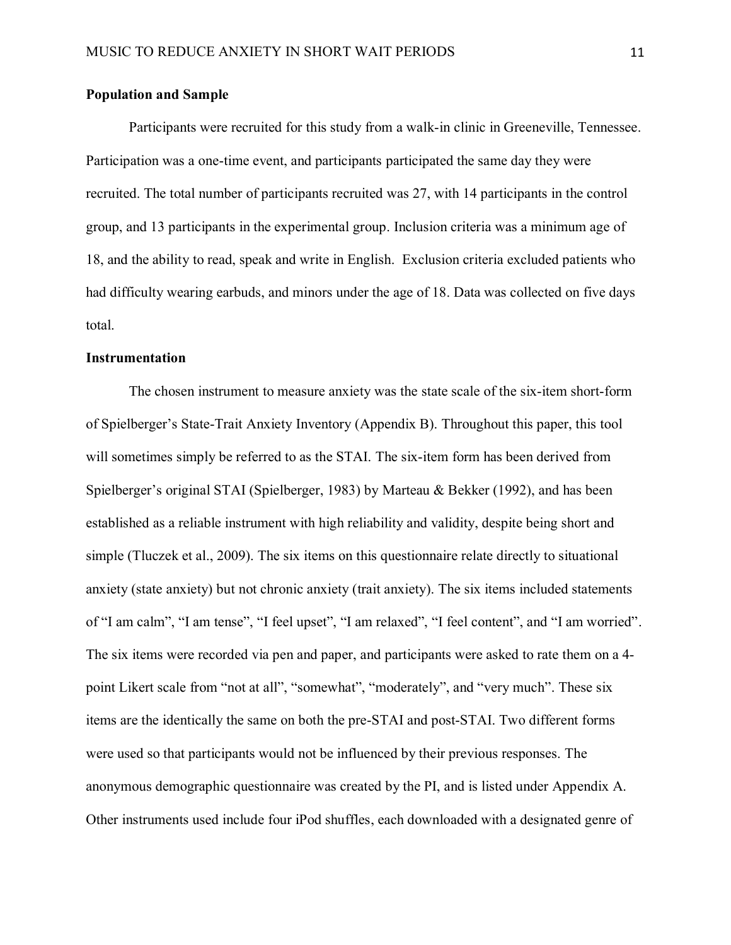### **Population and Sample**

Participants were recruited for this study from a walk-in clinic in Greeneville, Tennessee. Participation was a one-time event, and participants participated the same day they were recruited. The total number of participants recruited was 27, with 14 participants in the control group, and 13 participants in the experimental group. Inclusion criteria was a minimum age of 18, and the ability to read, speak and write in English. Exclusion criteria excluded patients who had difficulty wearing earbuds, and minors under the age of 18. Data was collected on five days total.

### **Instrumentation**

The chosen instrument to measure anxiety was the state scale of the six-item short-form of Spielberger's State-Trait Anxiety Inventory (Appendix B). Throughout this paper, this tool will sometimes simply be referred to as the STAI. The six-item form has been derived from Spielberger's original STAI (Spielberger, 1983) by Marteau & Bekker (1992), and has been established as a reliable instrument with high reliability and validity, despite being short and simple (Tluczek et al., 2009). The six items on this questionnaire relate directly to situational anxiety (state anxiety) but not chronic anxiety (trait anxiety). The six items included statements of "I am calm", "I am tense", "I feel upset", "I am relaxed", "I feel content", and "I am worried". The six items were recorded via pen and paper, and participants were asked to rate them on a 4 point Likert scale from "not at all", "somewhat", "moderately", and "very much". These six items are the identically the same on both the pre-STAI and post-STAI. Two different forms were used so that participants would not be influenced by their previous responses. The anonymous demographic questionnaire was created by the PI, and is listed under Appendix A. Other instruments used include four iPod shuffles, each downloaded with a designated genre of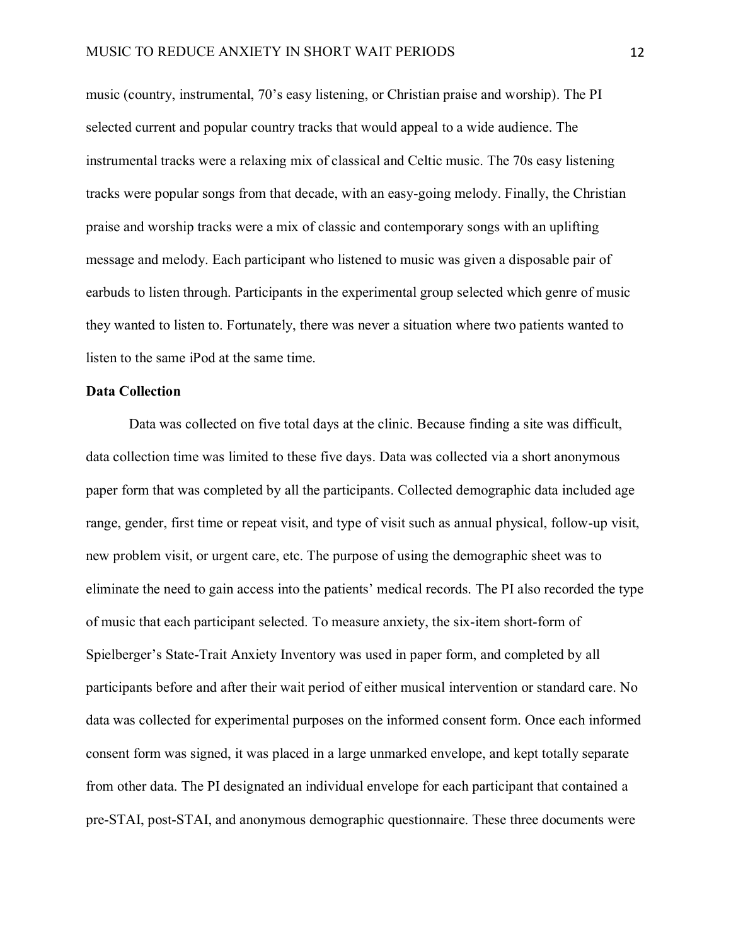music (country, instrumental, 70's easy listening, or Christian praise and worship). The PI selected current and popular country tracks that would appeal to a wide audience. The instrumental tracks were a relaxing mix of classical and Celtic music. The 70s easy listening tracks were popular songs from that decade, with an easy-going melody. Finally, the Christian praise and worship tracks were a mix of classic and contemporary songs with an uplifting message and melody. Each participant who listened to music was given a disposable pair of earbuds to listen through. Participants in the experimental group selected which genre of music they wanted to listen to. Fortunately, there was never a situation where two patients wanted to listen to the same iPod at the same time.

### **Data Collection**

Data was collected on five total days at the clinic. Because finding a site was difficult, data collection time was limited to these five days. Data was collected via a short anonymous paper form that was completed by all the participants. Collected demographic data included age range, gender, first time or repeat visit, and type of visit such as annual physical, follow-up visit, new problem visit, or urgent care, etc. The purpose of using the demographic sheet was to eliminate the need to gain access into the patients' medical records. The PI also recorded the type of music that each participant selected. To measure anxiety, the six-item short-form of Spielberger's State-Trait Anxiety Inventory was used in paper form, and completed by all participants before and after their wait period of either musical intervention or standard care. No data was collected for experimental purposes on the informed consent form. Once each informed consent form was signed, it was placed in a large unmarked envelope, and kept totally separate from other data. The PI designated an individual envelope for each participant that contained a pre-STAI, post-STAI, and anonymous demographic questionnaire. These three documents were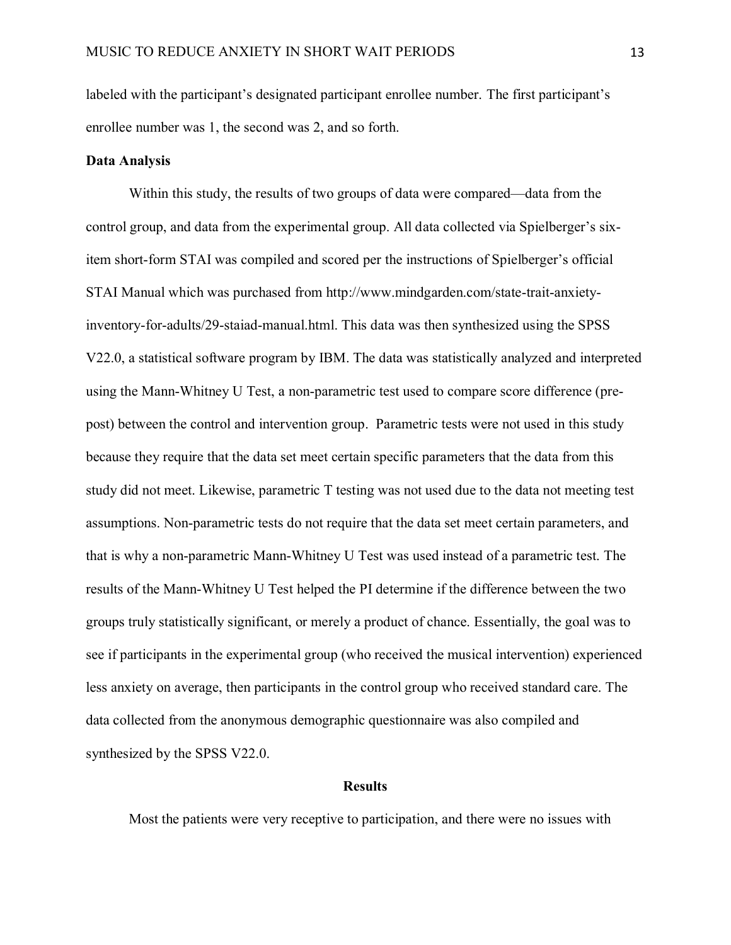labeled with the participant's designated participant enrollee number. The first participant's enrollee number was 1, the second was 2, and so forth.

### **Data Analysis**

Within this study, the results of two groups of data were compared—data from the control group, and data from the experimental group. All data collected via Spielberger's sixitem short-form STAI was compiled and scored per the instructions of Spielberger's official STAI Manual which was purchased from http://www.mindgarden.com/state-trait-anxietyinventory-for-adults/29-staiad-manual.html. This data was then synthesized using the SPSS V22.0, a statistical software program by IBM. The data was statistically analyzed and interpreted using the Mann-Whitney U Test, a non-parametric test used to compare score difference (prepost) between the control and intervention group. Parametric tests were not used in this study because they require that the data set meet certain specific parameters that the data from this study did not meet. Likewise, parametric T testing was not used due to the data not meeting test assumptions. Non-parametric tests do not require that the data set meet certain parameters, and that is why a non-parametric Mann-Whitney U Test was used instead of a parametric test. The results of the Mann-Whitney U Test helped the PI determine if the difference between the two groups truly statistically significant, or merely a product of chance. Essentially, the goal was to see if participants in the experimental group (who received the musical intervention) experienced less anxiety on average, then participants in the control group who received standard care. The data collected from the anonymous demographic questionnaire was also compiled and synthesized by the SPSS V22.0.

### **Results**

Most the patients were very receptive to participation, and there were no issues with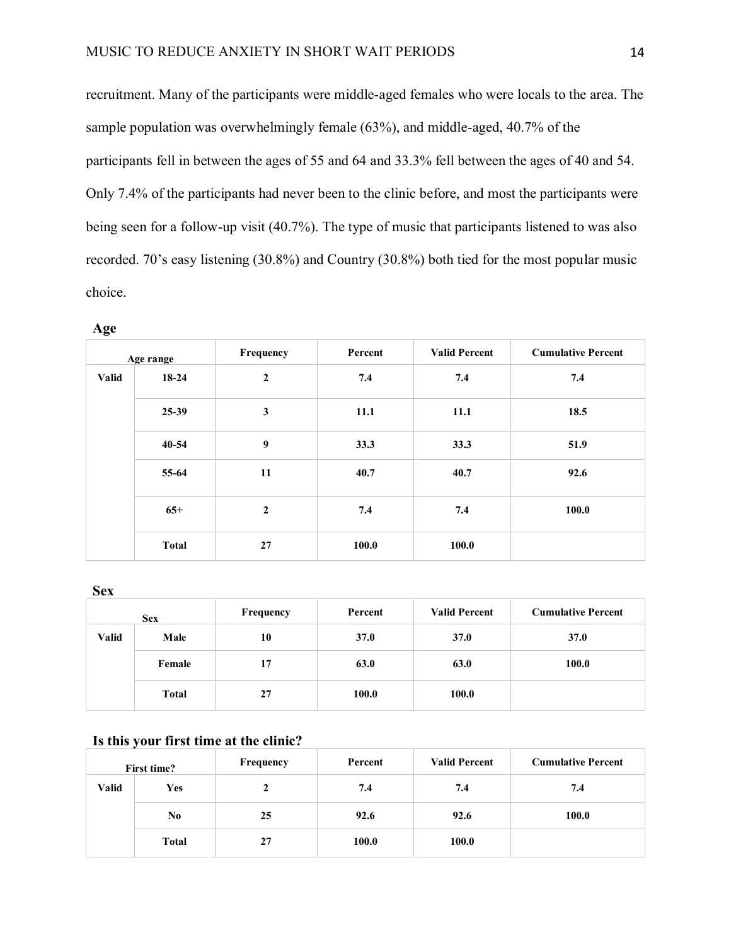recruitment. Many of the participants were middle-aged females who were locals to the area. The sample population was overwhelmingly female (63%), and middle-aged, 40.7% of the participants fell in between the ages of 55 and 64 and 33.3% fell between the ages of 40 and 54. Only 7.4% of the participants had never been to the clinic before, and most the participants were being seen for a follow-up visit (40.7%). The type of music that participants listened to was also recorded. 70's easy listening (30.8%) and Country (30.8%) both tied for the most popular music choice.

|              | Age range    | Frequency        | Percent | <b>Valid Percent</b> | <b>Cumulative Percent</b> |
|--------------|--------------|------------------|---------|----------------------|---------------------------|
| <b>Valid</b> | $18 - 24$    | $\boldsymbol{2}$ |         | 7.4                  | 7.4                       |
|              | 25-39        | 3                | 11.1    | 11.1                 | 18.5                      |
|              | $40 - 54$    | 9                | 33.3    | 33.3                 | 51.9                      |
|              | 55-64        | 11               | 40.7    | 40.7                 | 92.6                      |
|              | $65+$        | $\boldsymbol{2}$ | 7.4     | 7.4                  | 100.0                     |
|              | <b>Total</b> | 27               | 100.0   | 100.0                |                           |

**Age**

**Sex**

|       | <b>Sex</b>   | Frequency | Percent     | <b>Valid Percent</b> | <b>Cumulative Percent</b> |
|-------|--------------|-----------|-------------|----------------------|---------------------------|
| Valid | Male         | 10        | <b>37.0</b> | 37.0                 | <b>37.0</b>               |
|       | Female       | 17        | 63.0        | 63.0                 | 100.0                     |
|       | <b>Total</b> | 27        | 100.0       | 100.0                |                           |

### **Is this your first time at the clinic?**

| First time? |              | Frequency | Percent | <b>Valid Percent</b> | <b>Cumulative Percent</b> |
|-------------|--------------|-----------|---------|----------------------|---------------------------|
| Valid       | Yes          | ∠         |         | 7.4                  | 7.4                       |
|             | No           | 25        | 92.6    | 92.6                 | 100.0                     |
|             | <b>Total</b> | 27        | 100.0   | 100.0                |                           |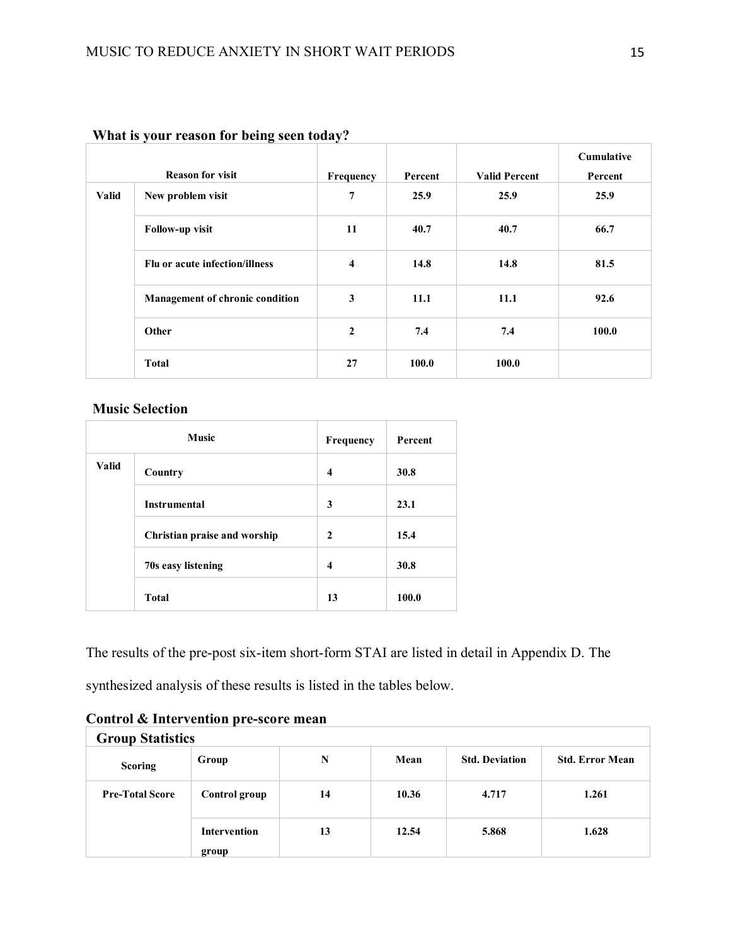|              | <b>Reason for visit</b>         | Frequency    | Percent | <b>Valid Percent</b> | Cumulative<br>Percent |
|--------------|---------------------------------|--------------|---------|----------------------|-----------------------|
| <b>Valid</b> | New problem visit               | 7            | 25.9    | 25.9                 | 25.9                  |
|              | <b>Follow-up visit</b>          | 11           | 40.7    | 40.7                 | 66.7                  |
|              | Flu or acute infection/illness  | 4            | 14.8    | 14.8                 | 81.5                  |
|              | Management of chronic condition | 3            | 11.1    | 11.1                 | 92.6                  |
|              | Other                           | $\mathbf{2}$ | 7.4     | 7.4                  | 100.0                 |
|              | <b>Total</b>                    | 27           | 100.0   | 100.0                |                       |

## **What is your reason for being seen today?**

## **Music Selection**

|              | <b>Music</b>                 | Frequency    | Percent |  |
|--------------|------------------------------|--------------|---------|--|
| <b>Valid</b> | Country                      | 4            | 30.8    |  |
|              | <b>Instrumental</b>          | 3            | 23.1    |  |
|              | Christian praise and worship | $\mathbf{2}$ | 15.4    |  |
|              | 70s easy listening           | 4            | 30.8    |  |
|              | <b>Total</b>                 | 13           | 100.0   |  |

The results of the pre-post six-item short-form STAI are listed in detail in Appendix D. The

synthesized analysis of these results is listed in the tables below.

| <b>Group Statistics</b> |                              |    |       |                       |                        |  |
|-------------------------|------------------------------|----|-------|-----------------------|------------------------|--|
| <b>Scoring</b>          | Group                        | N  | Mean  | <b>Std. Deviation</b> | <b>Std. Error Mean</b> |  |
| <b>Pre-Total Score</b>  | Control group                | 14 | 10.36 | 4.717                 | 1.261                  |  |
|                         | <b>Intervention</b><br>group | 13 | 12.54 | 5.868                 | 1.628                  |  |

**Control & Intervention pre-score mean**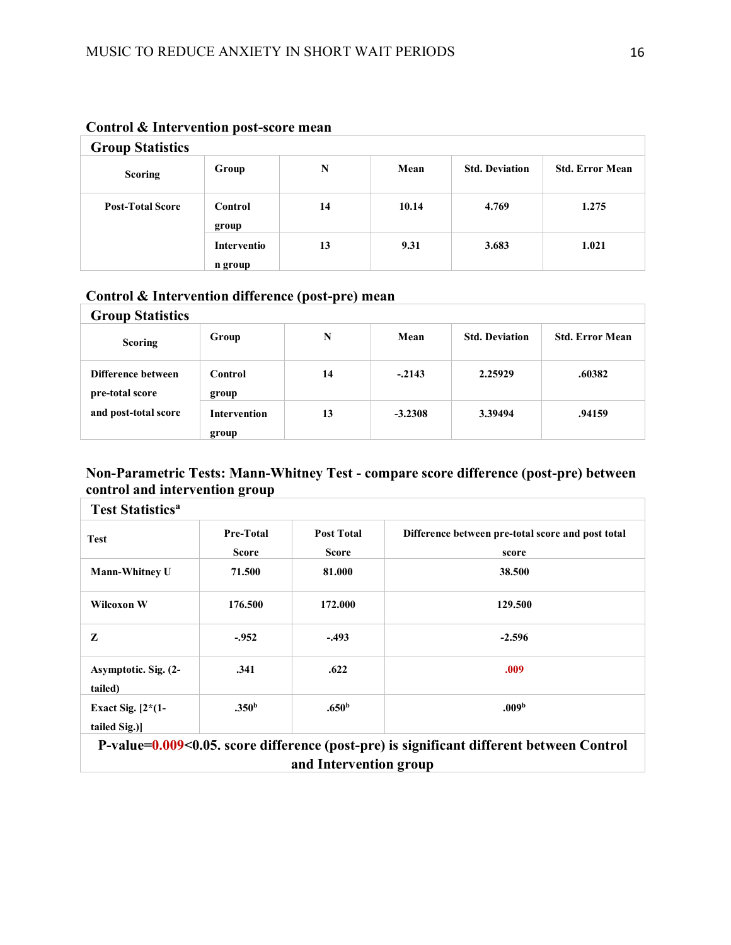| <b>Group Statistics</b> |                        |    |       |                       |                        |  |  |
|-------------------------|------------------------|----|-------|-----------------------|------------------------|--|--|
| <b>Scoring</b>          | Group                  | N  | Mean  | <b>Std. Deviation</b> | <b>Std. Error Mean</b> |  |  |
| <b>Post-Total Score</b> | Control<br>group       | 14 | 10.14 | 4.769                 | 1.275                  |  |  |
|                         | Interventio<br>n group | 13 | 9.31  | 3.683                 | 1.021                  |  |  |

### **Control & Intervention post-score mean**

### **Control & Intervention difference (post-pre) mean**

| <b>Group Statistics</b>               |                              |    |           |                       |                        |  |
|---------------------------------------|------------------------------|----|-----------|-----------------------|------------------------|--|
| <b>Scoring</b>                        | Group                        | N  | Mean      | <b>Std. Deviation</b> | <b>Std. Error Mean</b> |  |
| Difference between<br>pre-total score | Control<br>group             | 14 | $-2143$   | 2.25929               | .60382                 |  |
| and post-total score                  | <b>Intervention</b><br>group | 13 | $-3.2308$ | 3.39494               | .94159                 |  |

# **Non-Parametric Tests: Mann-Whitney Test - compare score difference (post-pre) between control and intervention group**

| <b>Test Statistics<sup>a</sup></b>    |                                  |                                   |                                                            |  |  |  |  |
|---------------------------------------|----------------------------------|-----------------------------------|------------------------------------------------------------|--|--|--|--|
| <b>Test</b>                           | <b>Pre-Total</b><br><b>Score</b> | <b>Post Total</b><br><b>Score</b> | Difference between pre-total score and post total<br>score |  |  |  |  |
| Mann-Whitney U                        | 71.500                           | 81.000                            | 38.500                                                     |  |  |  |  |
| Wilcoxon W                            | 176.500                          | 172.000                           | 129.500                                                    |  |  |  |  |
| Z                                     | $-0.952$                         | $-.493$                           | $-2.596$                                                   |  |  |  |  |
| Asymptotic. Sig. (2-<br>tailed)       | .341                             | .622                              | .009                                                       |  |  |  |  |
| Exact Sig. $[2*(1 -$<br>tailed Sig.)] | .350 <sup>b</sup>                | .650 <sup>b</sup>                 | .009 <sup>b</sup>                                          |  |  |  |  |

**P-value=0.009<0.05. score difference (post-pre) is significant different between Control and Intervention group**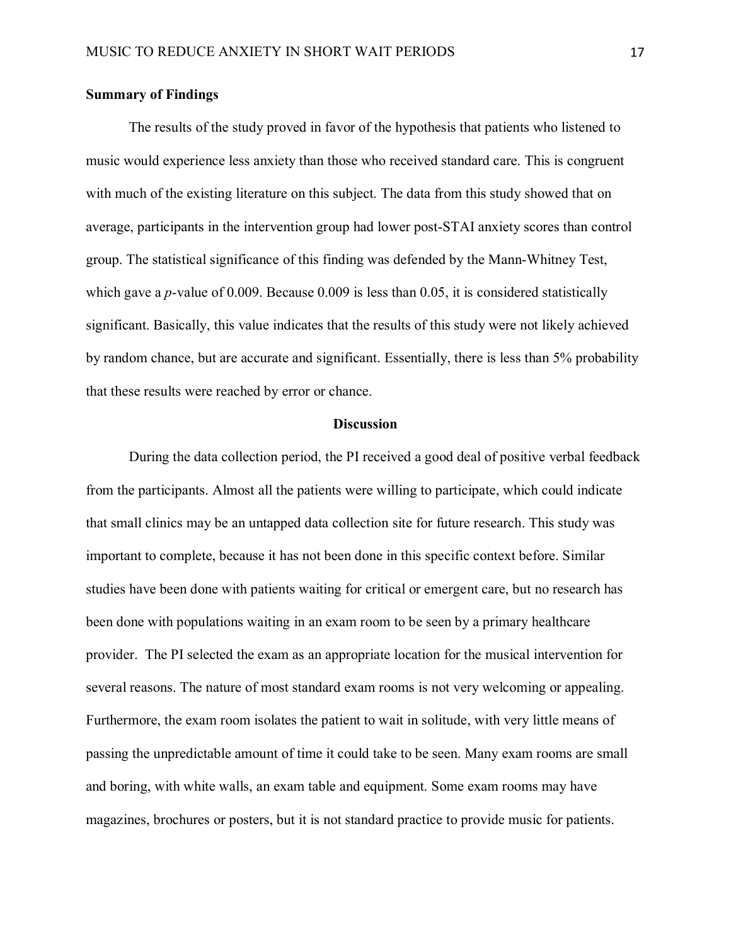### **Summary of Findings**

The results of the study proved in favor of the hypothesis that patients who listened to music would experience less anxiety than those who received standard care. This is congruent with much of the existing literature on this subject. The data from this study showed that on average, participants in the intervention group had lower post-STAI anxiety scores than control group. The statistical significance of this finding was defended by the Mann-Whitney Test, which gave a *p*-value of 0.009. Because 0.009 is less than 0.05, it is considered statistically significant. Basically, this value indicates that the results of this study were not likely achieved by random chance, but are accurate and significant. Essentially, there is less than 5% probability that these results were reached by error or chance.

#### **Discussion**

During the data collection period, the PI received a good deal of positive verbal feedback from the participants. Almost all the patients were willing to participate, which could indicate that small clinics may be an untapped data collection site for future research. This study was important to complete, because it has not been done in this specific context before. Similar studies have been done with patients waiting for critical or emergent care, but no research has been done with populations waiting in an exam room to be seen by a primary healthcare provider. The PI selected the exam as an appropriate location for the musical intervention for several reasons. The nature of most standard exam rooms is not very welcoming or appealing. Furthermore, the exam room isolates the patient to wait in solitude, with very little means of passing the unpredictable amount of time it could take to be seen. Many exam rooms are small and boring, with white walls, an exam table and equipment. Some exam rooms may have magazines, brochures or posters, but it is not standard practice to provide music for patients.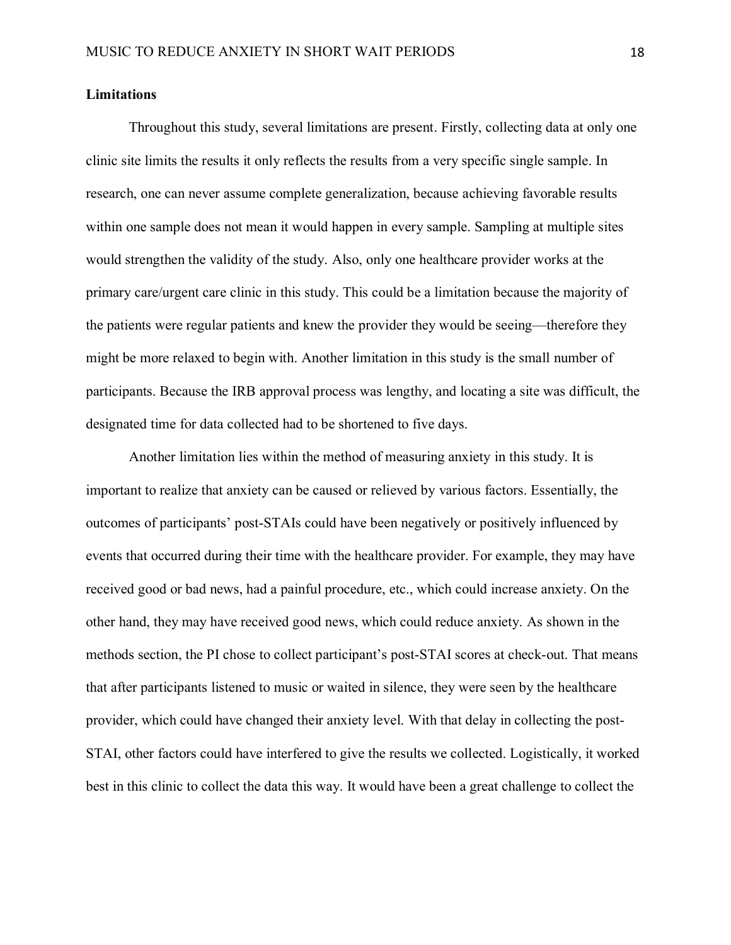### **Limitations**

Throughout this study, several limitations are present. Firstly, collecting data at only one clinic site limits the results it only reflects the results from a very specific single sample. In research, one can never assume complete generalization, because achieving favorable results within one sample does not mean it would happen in every sample. Sampling at multiple sites would strengthen the validity of the study. Also, only one healthcare provider works at the primary care/urgent care clinic in this study. This could be a limitation because the majority of the patients were regular patients and knew the provider they would be seeing—therefore they might be more relaxed to begin with. Another limitation in this study is the small number of participants. Because the IRB approval process was lengthy, and locating a site was difficult, the designated time for data collected had to be shortened to five days.

Another limitation lies within the method of measuring anxiety in this study. It is important to realize that anxiety can be caused or relieved by various factors. Essentially, the outcomes of participants' post-STAIs could have been negatively or positively influenced by events that occurred during their time with the healthcare provider. For example, they may have received good or bad news, had a painful procedure, etc., which could increase anxiety. On the other hand, they may have received good news, which could reduce anxiety. As shown in the methods section, the PI chose to collect participant's post-STAI scores at check-out. That means that after participants listened to music or waited in silence, they were seen by the healthcare provider, which could have changed their anxiety level. With that delay in collecting the post-STAI, other factors could have interfered to give the results we collected. Logistically, it worked best in this clinic to collect the data this way. It would have been a great challenge to collect the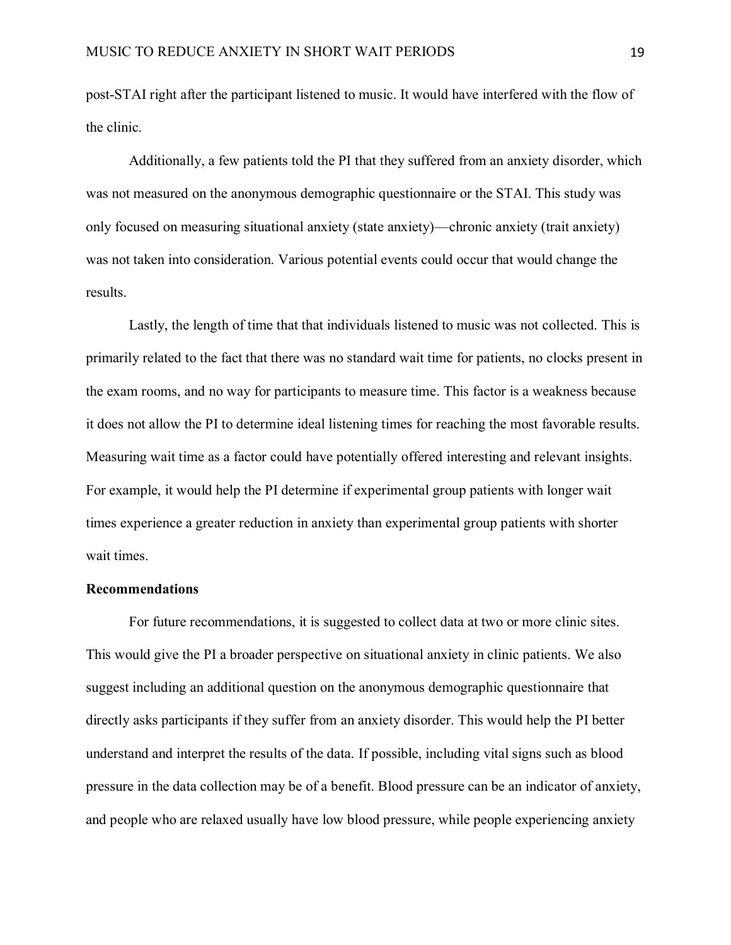post-STAI right after the participant listened to music. It would have interfered with the flow of the clinic.

Additionally, a few patients told the PI that they suffered from an anxiety disorder, which was not measured on the anonymous demographic questionnaire or the STAI. This study was only focused on measuring situational anxiety (state anxiety)—chronic anxiety (trait anxiety) was not taken into consideration. Various potential events could occur that would change the results.

Lastly, the length of time that that individuals listened to music was not collected. This is primarily related to the fact that there was no standard wait time for patients, no clocks present in the exam rooms, and no way for participants to measure time. This factor is a weakness because it does not allow the PI to determine ideal listening times for reaching the most favorable results. Measuring wait time as a factor could have potentially offered interesting and relevant insights. For example, it would help the PI determine if experimental group patients with longer wait times experience a greater reduction in anxiety than experimental group patients with shorter wait times.

### **Recommendations**

For future recommendations, it is suggested to collect data at two or more clinic sites. This would give the PI a broader perspective on situational anxiety in clinic patients. We also suggest including an additional question on the anonymous demographic questionnaire that directly asks participants if they suffer from an anxiety disorder. This would help the PI better understand and interpret the results of the data. If possible, including vital signs such as blood pressure in the data collection may be of a benefit. Blood pressure can be an indicator of anxiety, and people who are relaxed usually have low blood pressure, while people experiencing anxiety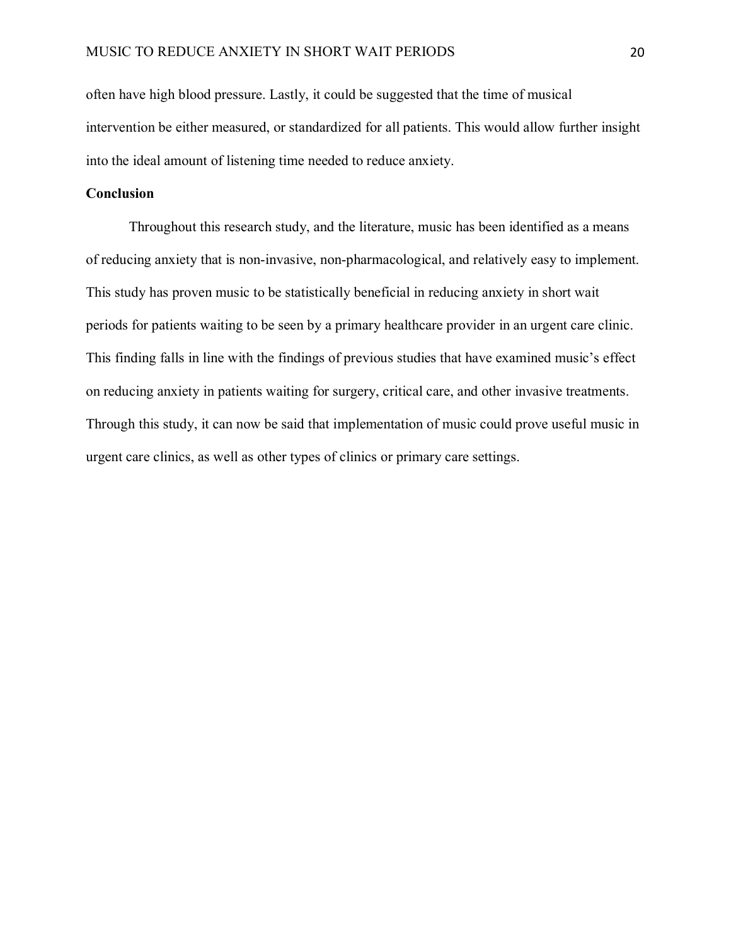often have high blood pressure. Lastly, it could be suggested that the time of musical intervention be either measured, or standardized for all patients. This would allow further insight into the ideal amount of listening time needed to reduce anxiety.

### **Conclusion**

Throughout this research study, and the literature, music has been identified as a means of reducing anxiety that is non-invasive, non-pharmacological, and relatively easy to implement. This study has proven music to be statistically beneficial in reducing anxiety in short wait periods for patients waiting to be seen by a primary healthcare provider in an urgent care clinic. This finding falls in line with the findings of previous studies that have examined music's effect on reducing anxiety in patients waiting for surgery, critical care, and other invasive treatments. Through this study, it can now be said that implementation of music could prove useful music in urgent care clinics, as well as other types of clinics or primary care settings.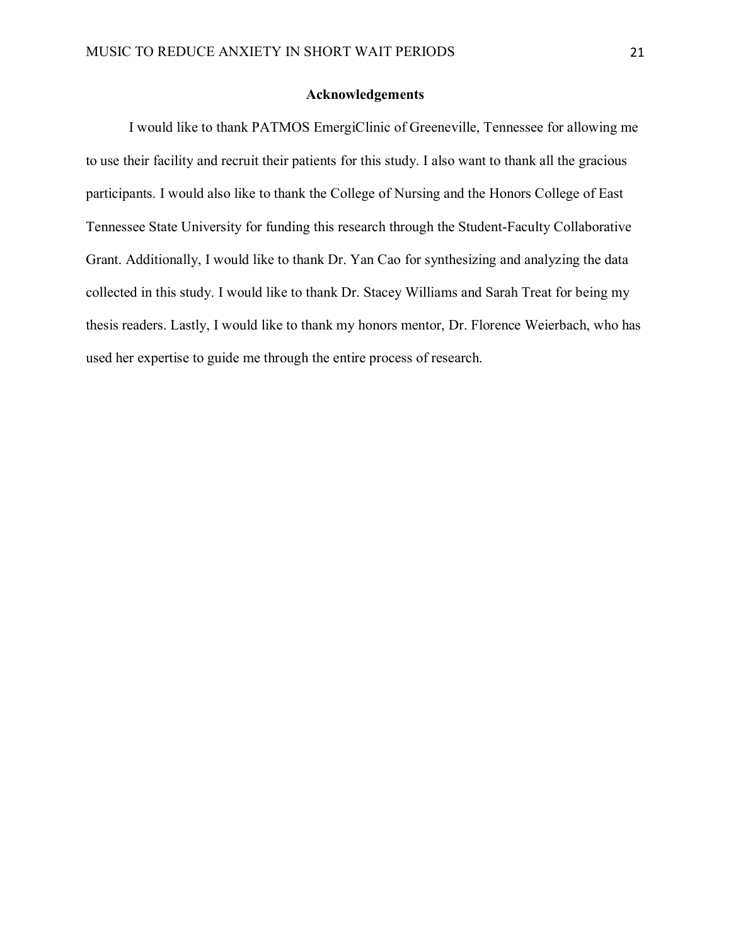### **Acknowledgements**

I would like to thank PATMOS EmergiClinic of Greeneville, Tennessee for allowing me to use their facility and recruit their patients for this study. I also want to thank all the gracious participants. I would also like to thank the College of Nursing and the Honors College of East Tennessee State University for funding this research through the Student-Faculty Collaborative Grant. Additionally, I would like to thank Dr. Yan Cao for synthesizing and analyzing the data collected in this study. I would like to thank Dr. Stacey Williams and Sarah Treat for being my thesis readers. Lastly, I would like to thank my honors mentor, Dr. Florence Weierbach, who has used her expertise to guide me through the entire process of research.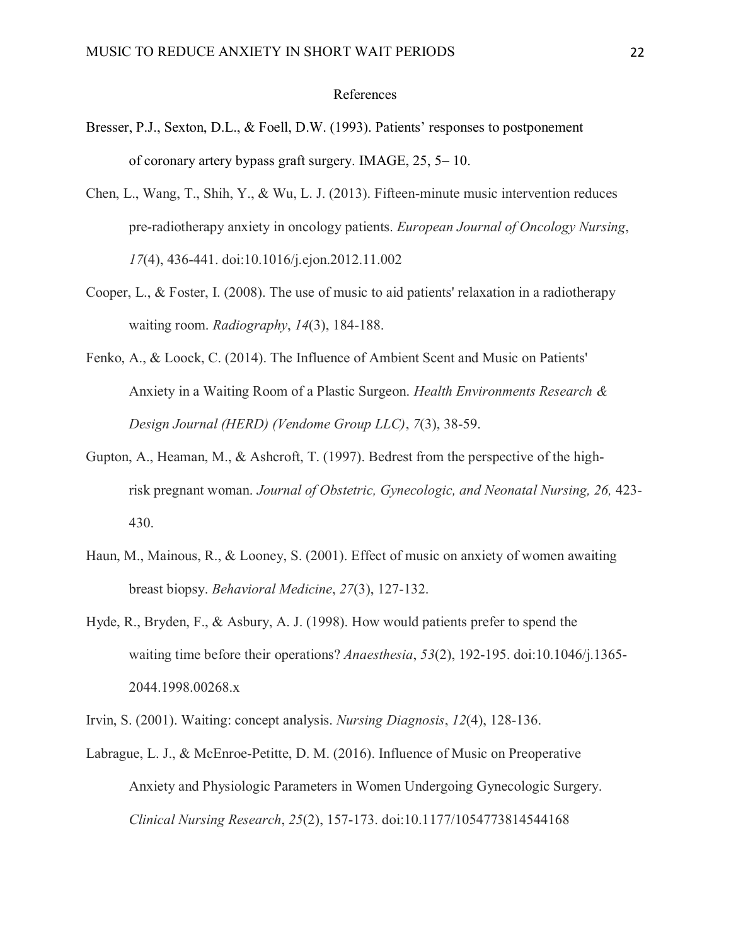#### References

- Bresser, P.J., Sexton, D.L., & Foell, D.W. (1993). Patients' responses to postponement of coronary artery bypass graft surgery. IMAGE, 25, 5– 10.
- Chen, L., Wang, T., Shih, Y., & Wu, L. J. (2013). Fifteen-minute music intervention reduces pre-radiotherapy anxiety in oncology patients. *European Journal of Oncology Nursing*, *17*(4), 436-441. doi:10.1016/j.ejon.2012.11.002
- Cooper, L., & Foster, I. (2008). The use of music to aid patients' relaxation in a radiotherapy waiting room. *Radiography*, *14*(3), 184-188.
- Fenko, A., & Loock, C. (2014). The Influence of Ambient Scent and Music on Patients' Anxiety in a Waiting Room of a Plastic Surgeon. *Health Environments Research & Design Journal (HERD) (Vendome Group LLC)*, *7*(3), 38-59.
- Gupton, A., Heaman, M., & Ashcroft, T. (1997). Bedrest from the perspective of the highrisk pregnant woman. *Journal of Obstetric, Gynecologic, and Neonatal Nursing, 26,* 423- 430.
- Haun, M., Mainous, R., & Looney, S. (2001). Effect of music on anxiety of women awaiting breast biopsy. *Behavioral Medicine*, *27*(3), 127-132.
- Hyde, R., Bryden, F., & Asbury, A. J. (1998). How would patients prefer to spend the waiting time before their operations? *Anaesthesia*, *53*(2), 192-195. doi:10.1046/j.1365- 2044.1998.00268.x

Irvin, S. (2001). Waiting: concept analysis. *Nursing Diagnosis*, *12*(4), 128-136.

Labrague, L. J., & McEnroe-Petitte, D. M. (2016). Influence of Music on Preoperative Anxiety and Physiologic Parameters in Women Undergoing Gynecologic Surgery. *Clinical Nursing Research*, *25*(2), 157-173. doi:10.1177/1054773814544168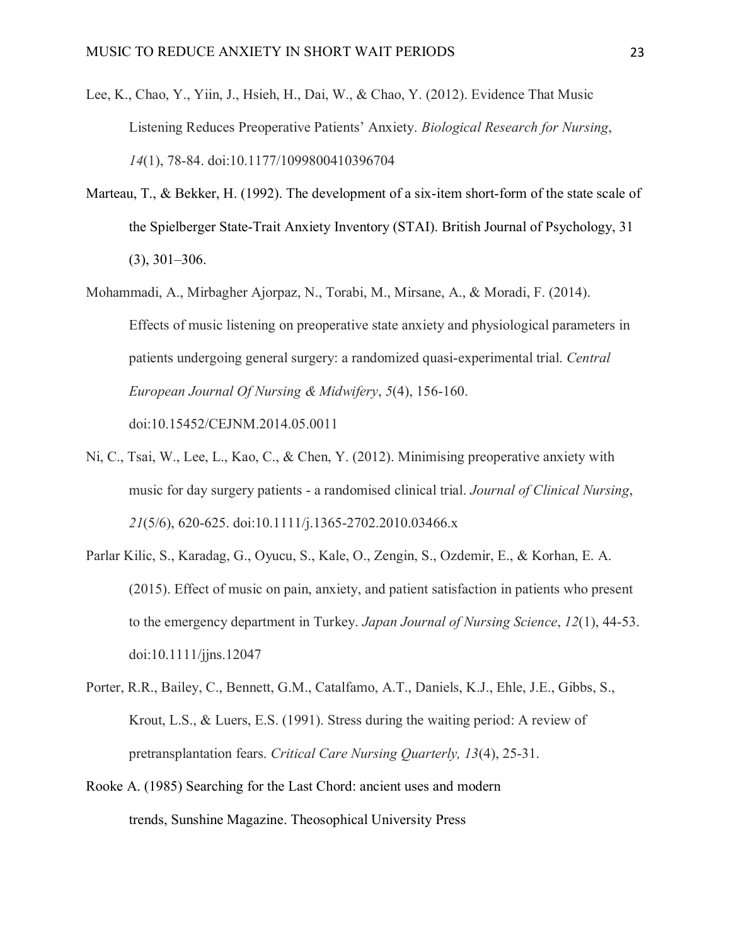- Lee, K., Chao, Y., Yiin, J., Hsieh, H., Dai, W., & Chao, Y. (2012). Evidence That Music Listening Reduces Preoperative Patients' Anxiety. *Biological Research for Nursing*, *14*(1), 78-84. doi:10.1177/1099800410396704
- Marteau, T., & Bekker, H. (1992). The development of a six-item short-form of the state scale of the Spielberger State-Trait Anxiety Inventory (STAI). British Journal of Psychology, 31 (3), 301–306.
- Mohammadi, A., Mirbagher Ajorpaz, N., Torabi, M., Mirsane, A., & Moradi, F. (2014). Effects of music listening on preoperative state anxiety and physiological parameters in patients undergoing general surgery: a randomized quasi-experimental trial. *Central European Journal Of Nursing & Midwifery*, *5*(4), 156-160. doi:10.15452/CEJNM.2014.05.0011
- Ni, C., Tsai, W., Lee, L., Kao, C., & Chen, Y. (2012). Minimising preoperative anxiety with music for day surgery patients - a randomised clinical trial. *Journal of Clinical Nursing*, *21*(5/6), 620-625. doi:10.1111/j.1365-2702.2010.03466.x
- Parlar Kilic, S., Karadag, G., Oyucu, S., Kale, O., Zengin, S., Ozdemir, E., & Korhan, E. A. (2015). Effect of music on pain, anxiety, and patient satisfaction in patients who present to the emergency department in Turkey. *Japan Journal of Nursing Science*, *12*(1), 44-53. doi:10.1111/jjns.12047
- Porter, R.R., Bailey, C., Bennett, G.M., Catalfamo, A.T., Daniels, K.J., Ehle, J.E., Gibbs, S., Krout, L.S., & Luers, E.S. (1991). Stress during the waiting period: A review of pretransplantation fears. *Critical Care Nursing Quarterly, 13*(4), 25-31.
- Rooke A. (1985) Searching for the Last Chord: ancient uses and modern trends, Sunshine Magazine. Theosophical University Press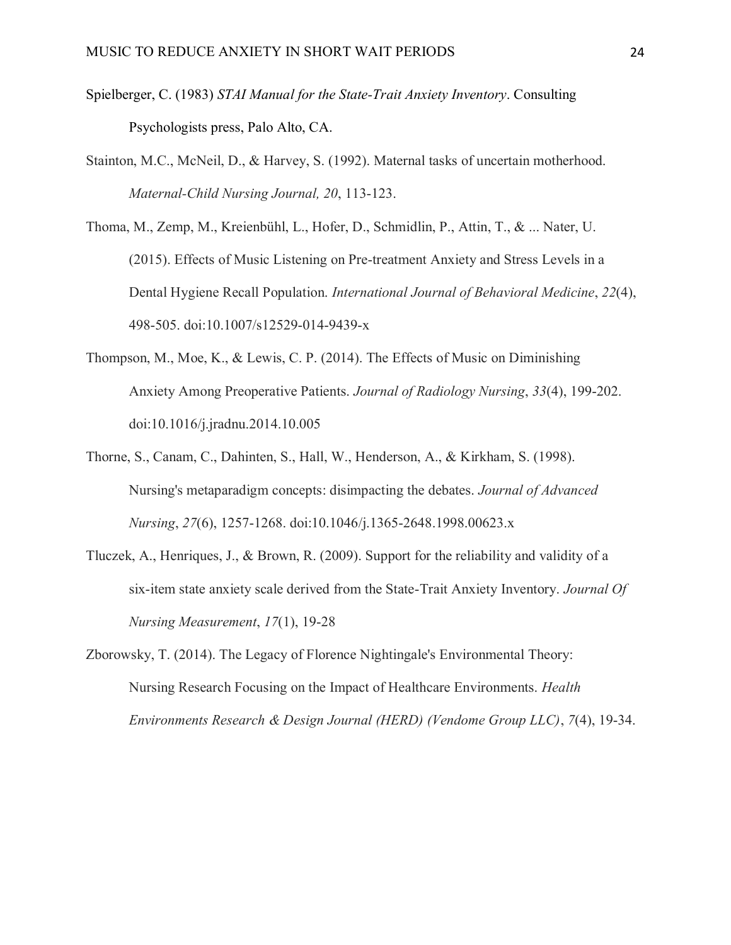- Spielberger, C. (1983) *STAI Manual for the State-Trait Anxiety Inventory*. Consulting Psychologists press, Palo Alto, CA.
- Stainton, M.C., McNeil, D., & Harvey, S. (1992). Maternal tasks of uncertain motherhood. *Maternal-Child Nursing Journal, 20*, 113-123.
- Thoma, M., Zemp, M., Kreienbühl, L., Hofer, D., Schmidlin, P., Attin, T., & ... Nater, U. (2015). Effects of Music Listening on Pre-treatment Anxiety and Stress Levels in a Dental Hygiene Recall Population. *International Journal of Behavioral Medicine*, *22*(4), 498-505. doi:10.1007/s12529-014-9439-x
- Thompson, M., Moe, K., & Lewis, C. P. (2014). The Effects of Music on Diminishing Anxiety Among Preoperative Patients. *Journal of Radiology Nursing*, *33*(4), 199-202. doi:10.1016/j.jradnu.2014.10.005
- Thorne, S., Canam, C., Dahinten, S., Hall, W., Henderson, A., & Kirkham, S. (1998). Nursing's metaparadigm concepts: disimpacting the debates. *Journal of Advanced Nursing*, *27*(6), 1257-1268. doi:10.1046/j.1365-2648.1998.00623.x
- Tluczek, A., Henriques, J., & Brown, R. (2009). Support for the reliability and validity of a six-item state anxiety scale derived from the State-Trait Anxiety Inventory. *Journal Of Nursing Measurement*, *17*(1), 19-28
- Zborowsky, T. (2014). The Legacy of Florence Nightingale's Environmental Theory: Nursing Research Focusing on the Impact of Healthcare Environments. *Health Environments Research & Design Journal (HERD) (Vendome Group LLC)*, *7*(4), 19-34.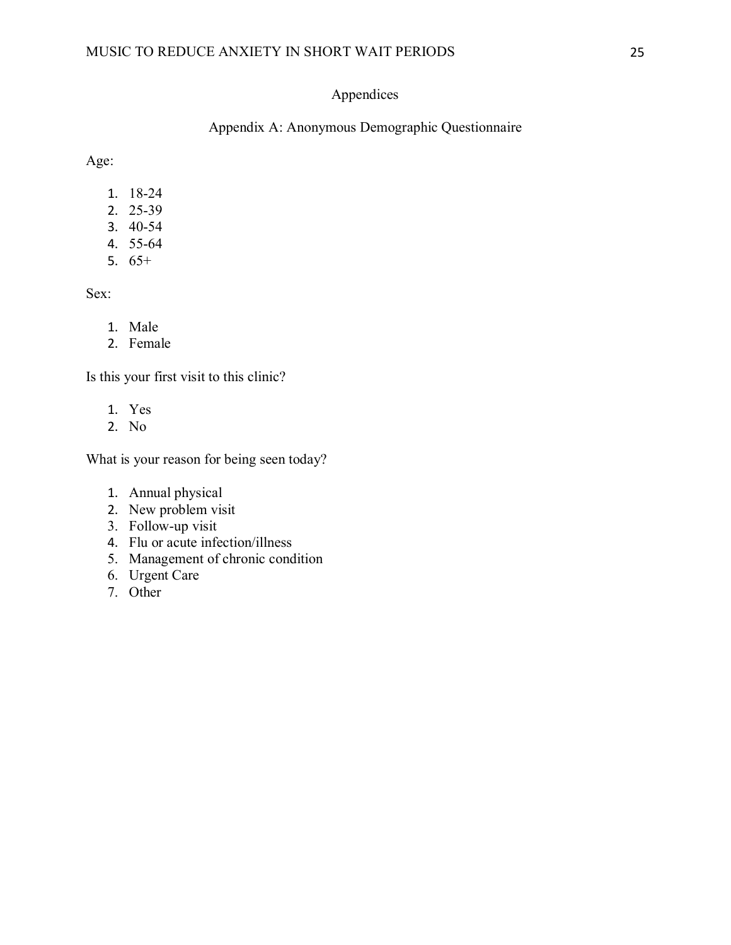# Appendices

## Appendix A: Anonymous Demographic Questionnaire

Age:

- 1. 18-24
- 2. 25-39
- 3. 40-54
- 4. 55-64
- 5. 65+

Sex:

- 1. Male
- 2. Female

Is this your first visit to this clinic?

- 1. Yes
- 2. No

What is your reason for being seen today?

- 1. Annual physical
- 2. New problem visit
- 3. Follow-up visit
- 4. Flu or acute infection/illness
- 5. Management of chronic condition
- 6. Urgent Care
- 7. Other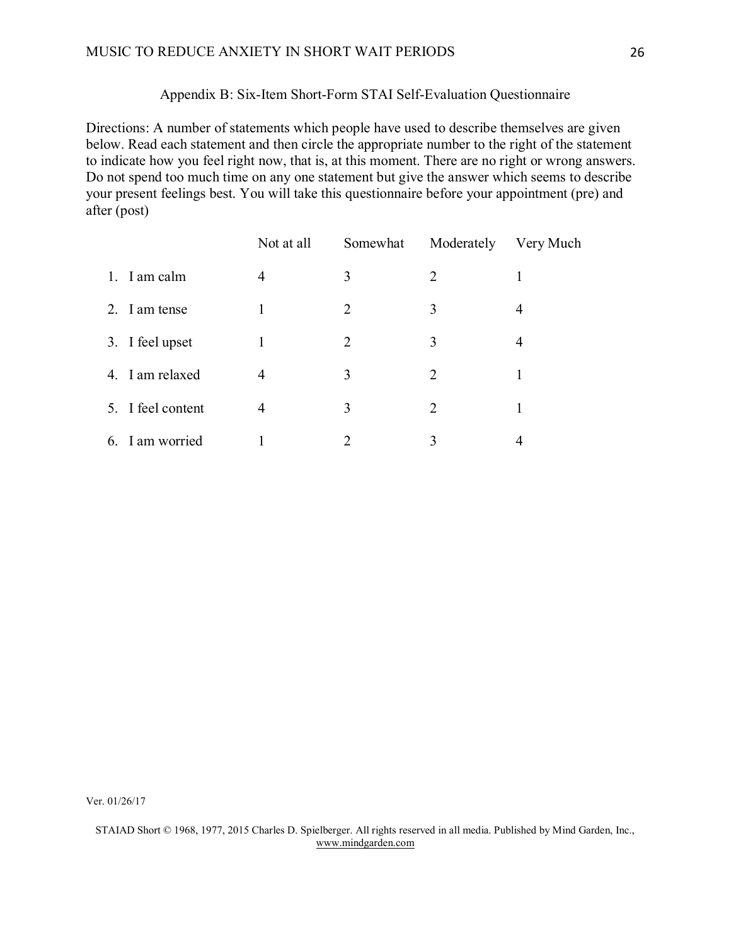### Appendix B: Six-Item Short-Form STAI Self-Evaluation Questionnaire

Directions: A number of statements which people have used to describe themselves are given below. Read each statement and then circle the appropriate number to the right of the statement to indicate how you feel right now, that is, at this moment. There are no right or wrong answers. Do not spend too much time on any one statement but give the answer which seems to describe your present feelings best. You will take this questionnaire before your appointment (pre) and after (post)

|                   | Not at all     | Somewhat | Moderately                  | Very Much |
|-------------------|----------------|----------|-----------------------------|-----------|
| 1. I am calm      | $\overline{4}$ | 3        | $\mathcal{D}_{\mathcal{L}}$ |           |
| 2. I am tense     | 1              | 2        | 3                           | 4         |
| 3. I feel upset   | 1              | 2        | 3                           | 4         |
| 4. I am relaxed   | 4              | 3        | 2                           |           |
| 5. I feel content | $\overline{4}$ | 3        | 2                           |           |
| 6. I am worried   |                | 2        | 3                           | 4         |

Ver. 01/26/17

STAIAD Short © 1968, 1977, 2015 Charles D. Spielberger. All rights reserved in all media. Published by Mind Garden, Inc., [www.mindgarden.com](http://www.mindgarden.com/)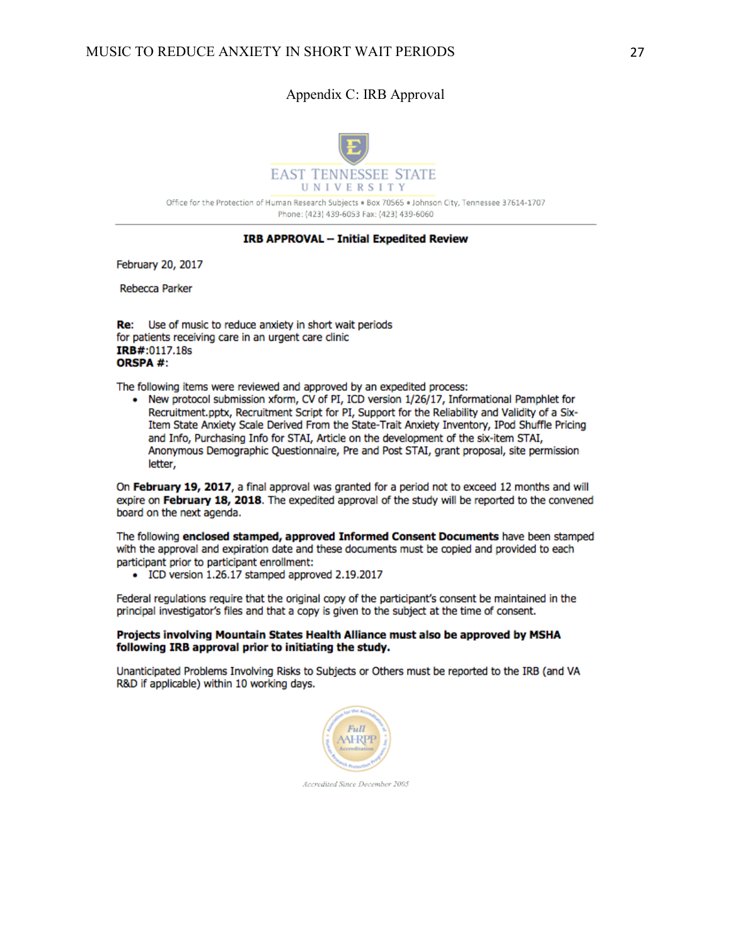Appendix C: IRB Approval



Office for the Protection of Human Research Subjects . Box 70565 . Johnson City, Tennessee 37614-1707 Phone: (423) 439-6053 Fax: (423) 439-6060

#### IRB APPROVAL - Initial Expedited Review

February 20, 2017

Rebecca Parker

Re: Use of music to reduce anxiety in short wait periods for patients receiving care in an urgent care clinic IRB#:0117.18s **ORSPA#:** 

The following items were reviewed and approved by an expedited process:

• New protocol submission xform, CV of PI, ICD version 1/26/17, Informational Pamphlet for Recruitment.pptx, Recruitment Script for PI, Support for the Reliability and Validity of a Six-Item State Anxiety Scale Derived From the State-Trait Anxiety Inventory, IPod Shuffle Pricing and Info, Purchasing Info for STAI, Article on the development of the six-item STAI, Anonymous Demographic Questionnaire, Pre and Post STAI, grant proposal, site permission letter,

On February 19, 2017, a final approval was granted for a period not to exceed 12 months and will expire on February 18, 2018. The expedited approval of the study will be reported to the convened board on the next agenda.

The following enclosed stamped, approved Informed Consent Documents have been stamped with the approval and expiration date and these documents must be copied and provided to each participant prior to participant enrollment:

• ICD version 1.26.17 stamped approved 2.19.2017

Federal regulations require that the original copy of the participant's consent be maintained in the principal investigator's files and that a copy is given to the subject at the time of consent.

#### Projects involving Mountain States Health Alliance must also be approved by MSHA following IRB approval prior to initiating the study.

Unanticipated Problems Involving Risks to Subjects or Others must be reported to the IRB (and VA R&D if applicable) within 10 working days.



Accredited Since December 2005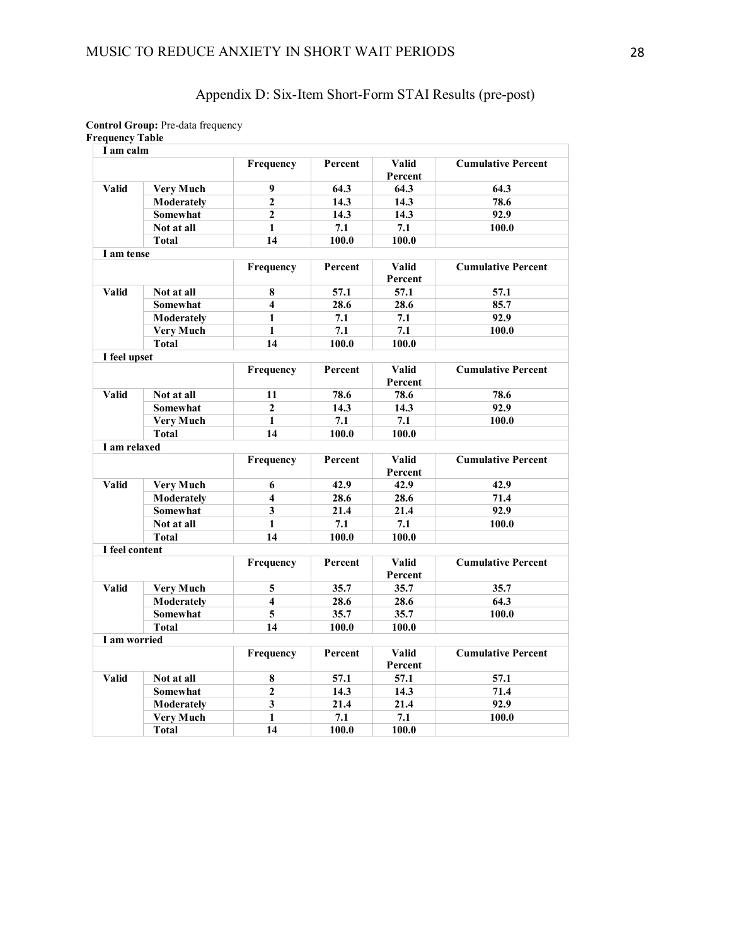# Appendix D: Six-Item Short-Form STAI Results (pre-post)

#### **Control Group:** Pre-data frequency

**Frequency Table**

| I am calm      |                   |                         |         |              |                           |
|----------------|-------------------|-------------------------|---------|--------------|---------------------------|
|                |                   | Frequency               | Percent | <b>Valid</b> | <b>Cumulative Percent</b> |
|                |                   |                         |         | Percent      |                           |
| <b>Valid</b>   | <b>Very Much</b>  | 9                       | 64.3    | 64.3         | 64.3                      |
|                | Moderately        | $\overline{2}$          | 14.3    | 14.3         | 78.6                      |
|                | Somewhat          | $\overline{2}$          | 14.3    | 14.3         | 92.9                      |
|                | Not at all        | 1                       | 7.1     | 7.1          | 100.0                     |
|                | <b>Total</b>      | 14                      | 100.0   | 100.0        |                           |
| I am tense     |                   |                         |         |              |                           |
|                |                   | Frequency               | Percent | <b>Valid</b> | <b>Cumulative Percent</b> |
|                |                   |                         |         | Percent      |                           |
| <b>Valid</b>   | Not at all        | 8                       | 57.1    | 57.1         | 57.1                      |
|                | Somewhat          | 4                       | 28.6    | 28.6         | 85.7                      |
|                | <b>Moderately</b> | $\mathbf{1}$            | 7.1     | 7.1          | 92.9                      |
|                | <b>Very Much</b>  | $\mathbf{1}$            | 7.1     | 7.1          | 100.0                     |
|                | <b>Total</b>      | 14                      | 100.0   | 100.0        |                           |
| I feel upset   |                   |                         |         |              |                           |
|                |                   | Frequency               | Percent | <b>Valid</b> | <b>Cumulative Percent</b> |
|                |                   |                         |         | Percent      |                           |
| <b>Valid</b>   | Not at all        | 11                      | 78.6    | 78.6         | 78.6                      |
|                | <b>Somewhat</b>   | $\overline{2}$          | 14.3    | 14.3         | 92.9                      |
|                | <b>Very Much</b>  | $\mathbf{1}$            | 7.1     | 7.1          | 100.0                     |
|                | <b>Total</b>      | 14                      | 100.0   | 100.0        |                           |
| I am relaxed   |                   |                         |         |              |                           |
|                |                   | Frequency               | Percent | <b>Valid</b> | <b>Cumulative Percent</b> |
|                |                   |                         |         | Percent      |                           |
| <b>Valid</b>   | <b>Very Much</b>  | 6                       | 42.9    | 42.9         | 42.9                      |
|                | <b>Moderately</b> | $\overline{\mathbf{4}}$ | 28.6    | 28.6         | 71.4                      |
|                | Somewhat          | 3                       | 21.4    | 21.4         | 92.9                      |
|                | Not at all        | $\mathbf{1}$            | 7.1     | 7.1          | 100.0                     |
|                | <b>Total</b>      | 14                      | 100.0   | 100.0        |                           |
| I feel content |                   |                         |         |              |                           |
|                |                   | Frequency               | Percent | <b>Valid</b> | <b>Cumulative Percent</b> |
|                |                   |                         |         | Percent      |                           |
| <b>Valid</b>   | Very Much         | 5                       | 35.7    | 35.7         | 35.7                      |
|                | Moderatelv        | 4                       | 28.6    | 28.6         | 64.3                      |
|                | <b>Somewhat</b>   | 5                       | 35.7    | 35.7         | 100.0                     |
|                | <b>Total</b>      | 14                      | 100.0   | 100.0        |                           |
| I am worried   |                   |                         |         |              |                           |
|                |                   | Frequency               | Percent | <b>Valid</b> | <b>Cumulative Percent</b> |
|                |                   |                         |         | Percent      |                           |
| <b>Valid</b>   | Not at all        | 8                       | 57.1    | 57.1         | 57.1                      |
|                | Somewhat          | $\overline{2}$          | 14.3    | 14.3         | 71.4                      |
|                | <b>Moderately</b> | $\overline{\mathbf{3}}$ | 21.4    | 21.4         | 92.9                      |
|                | Very Much         | 1                       | 7.1     | 7.1          | 100.0                     |
|                | <b>Total</b>      | 14                      | 100.0   | 100.0        |                           |
|                |                   |                         |         |              |                           |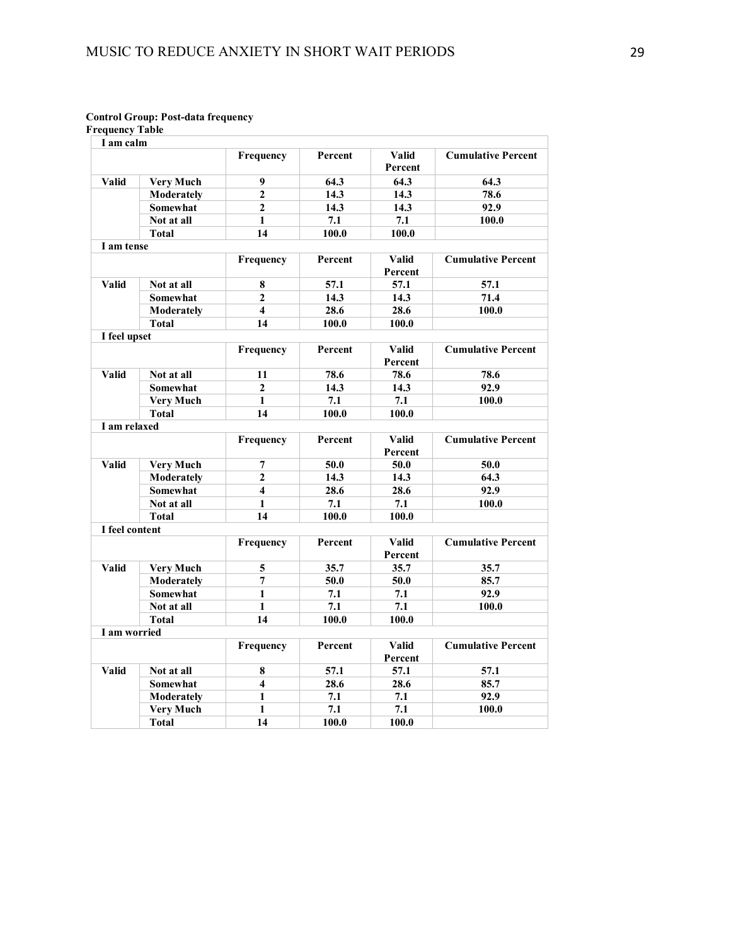#### **Control Group: Post-data frequency**

**Frequency Table**

| I am calm      |                   |                         |         |                         |                           |
|----------------|-------------------|-------------------------|---------|-------------------------|---------------------------|
|                |                   | Frequency               | Percent | <b>Valid</b><br>Percent | <b>Cumulative Percent</b> |
| <b>Valid</b>   | Very Much         | 9                       | 64.3    | 64.3                    | 64.3                      |
|                | Moderately        | $\overline{2}$          | 14.3    | 14.3                    | 78.6                      |
|                | <b>Somewhat</b>   | $\overline{2}$          | 14.3    | 14.3                    | 92.9                      |
|                | Not at all        | 1                       | 7.1     | 7.1                     | 100.0                     |
|                | <b>Total</b>      | 14                      | 100.0   | 100.0                   |                           |
| I am tense     |                   |                         |         |                         |                           |
|                |                   | Frequency               | Percent | <b>Valid</b><br>Percent | <b>Cumulative Percent</b> |
| <b>Valid</b>   | Not at all        | 8                       | 57.1    | 57.1                    | 57.1                      |
|                | Somewhat          | $\mathbf{2}$            | 14.3    | 14.3                    | 71.4                      |
|                | <b>Moderately</b> | $\overline{\mathbf{4}}$ | 28.6    | 28.6                    | 100.0                     |
|                | <b>Total</b>      | 14                      | 100.0   | 100.0                   |                           |
| I feel upset   |                   |                         |         |                         |                           |
|                |                   | Frequency               | Percent | <b>Valid</b><br>Percent | <b>Cumulative Percent</b> |
| <b>Valid</b>   | Not at all        | 11                      | 78.6    | 78.6                    | 78.6                      |
|                | Somewhat          | $\overline{2}$          | 14.3    | 14.3                    | 92.9                      |
|                | <b>Very Much</b>  | 1                       | 7.1     | 7.1                     | 100.0                     |
|                | <b>Total</b>      | 14                      | 100.0   | 100.0                   |                           |
| I am relaxed   |                   |                         |         |                         |                           |
|                |                   | Frequency               | Percent | <b>Valid</b><br>Percent | <b>Cumulative Percent</b> |
| <b>Valid</b>   | <b>Very Much</b>  | 7                       | 50.0    | 50.0                    | 50.0                      |
|                | Moderately        | $\overline{2}$          | 14.3    | 14.3                    | 64.3                      |
|                | Somewhat          | 4                       | 28.6    | 28.6                    | 92.9                      |
|                | Not at all        | 1                       | 7.1     | 7.1                     | 100.0                     |
|                | <b>Total</b>      | 14                      | 100.0   | 100.0                   |                           |
| I feel content |                   |                         |         |                         |                           |
|                |                   | Frequency               | Percent | <b>Valid</b><br>Percent | <b>Cumulative Percent</b> |
| <b>Valid</b>   | <b>Very Much</b>  | 5                       | 35.7    | 35.7                    | 35.7                      |
|                | Moderately        | 7                       | 50.0    | 50.0                    | 85.7                      |
|                | Somewhat          | 1                       | 7.1     | 7.1                     | 92.9                      |
|                | Not at all        | 1                       | 7.1     | 7.1                     | 100.0                     |
|                | <b>Total</b>      | 14                      | 100.0   | 100.0                   |                           |
| I am worried   |                   |                         |         |                         |                           |
|                |                   | Frequency               | Percent | <b>Valid</b><br>Percent | <b>Cumulative Percent</b> |
| <b>Valid</b>   | Not at all        | 8                       | 57.1    | 57.1                    | 57.1                      |
|                | Somewhat          | $\overline{\mathbf{4}}$ | 28.6    | 28.6                    | 85.7                      |
|                | Moderately        | 1                       | 7.1     | 7.1                     | 92.9                      |
|                | Very Much         | 1                       | 7.1     | 7.1                     | 100.0                     |
|                | <b>Total</b>      | 14                      | 100.0   | 100.0                   |                           |
|                |                   |                         |         |                         |                           |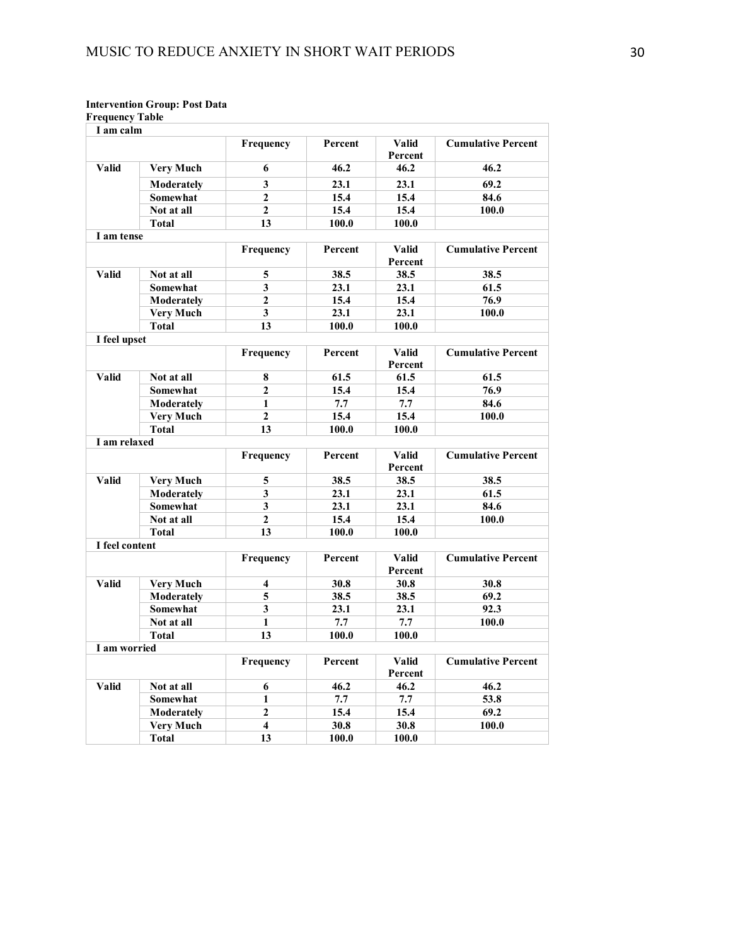#### **Intervention Group: Post Data**

**Frequency Table**

|                |                   | Frequency               | Percent | <b>Valid</b><br>Percent | <b>Cumulative Percent</b> |
|----------------|-------------------|-------------------------|---------|-------------------------|---------------------------|
| <b>Valid</b>   | <b>Very Much</b>  | 6                       | 46.2    | 46.2                    | 46.2                      |
|                | <b>Moderately</b> | 3                       | 23.1    | 23.1                    | 69.2                      |
|                | Somewhat          | $\overline{2}$          | 15.4    | 15.4                    | 84.6                      |
|                | Not at all        | $\overline{2}$          | 15.4    | 15.4                    | 100.0                     |
|                | <b>Total</b>      | 13                      | 100.0   | 100.0                   |                           |
| I am tense     |                   |                         |         |                         |                           |
|                |                   | Frequency               | Percent | <b>Valid</b>            | <b>Cumulative Percent</b> |
|                |                   |                         |         | Percent                 |                           |
| <b>Valid</b>   | Not at all        | 5                       | 38.5    | 38.5                    | 38.5                      |
|                | Somewhat          | 3                       | 23.1    | 23.1                    | 61.5                      |
|                | Moderately        | $\overline{2}$          | 15.4    | 15.4                    | 76.9                      |
|                | <b>Very Much</b>  | $\overline{\mathbf{3}}$ | 23.1    | 23.1                    | 100.0                     |
|                | <b>Total</b>      | 13                      | 100.0   | 100.0                   |                           |
| I feel upset   |                   |                         |         |                         |                           |
|                |                   | Frequency               | Percent | <b>Valid</b>            | <b>Cumulative Percent</b> |
|                |                   |                         |         | Percent                 |                           |
| <b>Valid</b>   | Not at all        | 8                       | 61.5    | 61.5                    | 61.5                      |
|                | Somewhat          | $\overline{2}$          | 15.4    | 15.4                    | 76.9                      |
|                | Moderately        | $\mathbf{1}$            | 7.7     | 7.7                     | 84.6                      |
|                | <b>Very Much</b>  | $\overline{2}$          | 15.4    | 15.4                    | 100.0                     |
|                | <b>Total</b>      | 13                      | 100.0   | 100.0                   |                           |
| I am relaxed   |                   |                         |         |                         |                           |
|                |                   | Frequency               | Percent | <b>Valid</b>            | <b>Cumulative Percent</b> |
|                |                   |                         |         | Percent                 |                           |
| <b>Valid</b>   | <b>Very Much</b>  | 5                       | 38.5    | 38.5                    | 38.5                      |
|                | Moderately        | $\overline{\mathbf{3}}$ | 23.1    | 23.1                    | 61.5                      |
|                | Somewhat          | 3                       | 23.1    | 23.1                    | 84.6                      |
|                | Not at all        | $\overline{2}$          | 15.4    | 15.4                    | 100.0                     |
|                | <b>Total</b>      | 13                      | 100.0   | 100.0                   |                           |
| I feel content |                   |                         |         |                         |                           |
|                |                   | Frequency               | Percent | <b>Valid</b>            | <b>Cumulative Percent</b> |
|                |                   |                         |         | Percent                 |                           |
| <b>Valid</b>   | <b>Very Much</b>  | 4                       | 30.8    | 30.8                    | 30.8                      |
|                | <b>Moderately</b> | $\overline{5}$          | 38.5    | 38.5                    | 69.2                      |
|                | Somewhat          | 3                       | 23.1    | 23.1                    | 92.3                      |
|                | Not at all        | 1                       | 7.7     | 7.7                     | 100.0                     |
|                | <b>Total</b>      | 13                      | 100.0   | 100.0                   |                           |
| I am worried   |                   |                         |         |                         |                           |
|                |                   | Frequency               | Percent | <b>Valid</b><br>Percent | <b>Cumulative Percent</b> |
| <b>Valid</b>   | Not at all        | 6                       | 46.2    | 46.2                    | 46.2                      |
|                | Somewhat          | $\mathbf{1}$            | 7.7     | 7.7                     | 53.8                      |
|                | Moderately        | $\overline{2}$          | 15.4    | 15.4                    | 69.2                      |
|                | <b>Very Much</b>  | $\overline{\mathbf{4}}$ | 30.8    | 30.8                    | 100.0                     |
|                | <b>Total</b>      | 13                      | 100.0   | 100.0                   |                           |